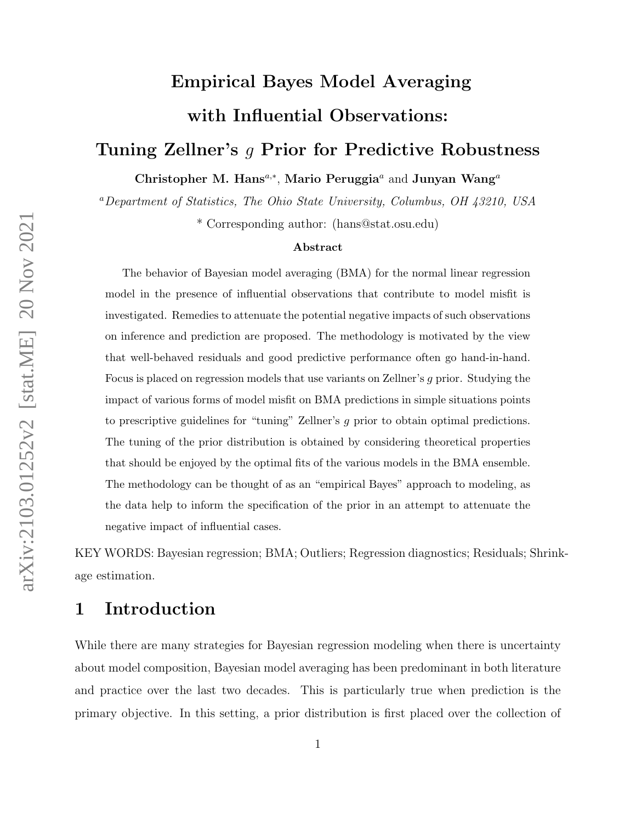# Empirical Bayes Model Averaging with Influential Observations:

## Tuning Zellner's g Prior for Predictive Robustness

Christopher M. Hans<sup>a,\*</sup>, Mario Peruggia<sup>a</sup> and Junyan Wang<sup>a</sup>

<sup>a</sup>Department of Statistics, The Ohio State University, Columbus, OH 43210, USA

\* Corresponding author: (hans@stat.osu.edu)

#### Abstract

The behavior of Bayesian model averaging (BMA) for the normal linear regression model in the presence of influential observations that contribute to model misfit is investigated. Remedies to attenuate the potential negative impacts of such observations on inference and prediction are proposed. The methodology is motivated by the view that well-behaved residuals and good predictive performance often go hand-in-hand. Focus is placed on regression models that use variants on Zellner's g prior. Studying the impact of various forms of model misfit on BMA predictions in simple situations points to prescriptive guidelines for "tuning" Zellner's g prior to obtain optimal predictions. The tuning of the prior distribution is obtained by considering theoretical properties that should be enjoyed by the optimal fits of the various models in the BMA ensemble. The methodology can be thought of as an "empirical Bayes" approach to modeling, as the data help to inform the specification of the prior in an attempt to attenuate the negative impact of influential cases.

KEY WORDS: Bayesian regression; BMA; Outliers; Regression diagnostics; Residuals; Shrinkage estimation.

## <span id="page-0-0"></span>1 Introduction

While there are many strategies for Bayesian regression modeling when there is uncertainty about model composition, Bayesian model averaging has been predominant in both literature and practice over the last two decades. This is particularly true when prediction is the primary objective. In this setting, a prior distribution is first placed over the collection of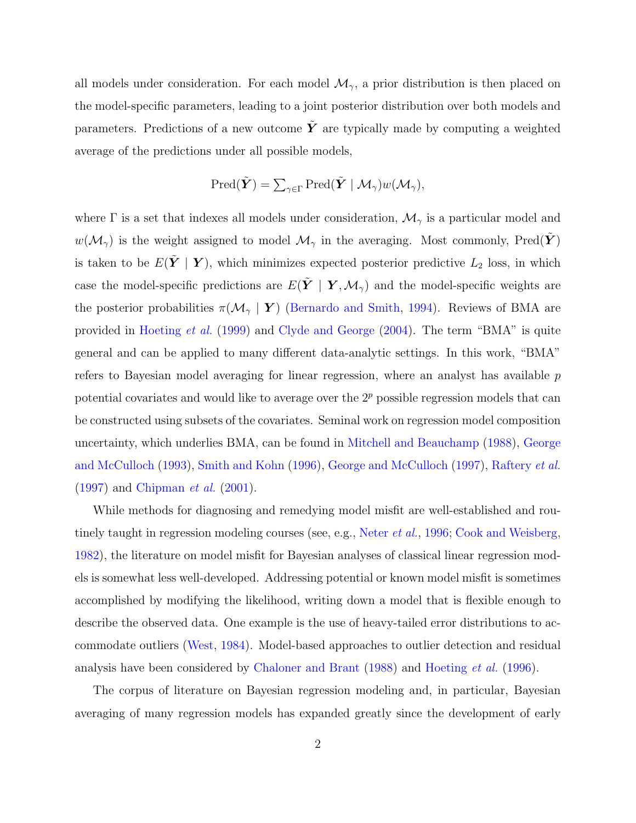all models under consideration. For each model  $\mathcal{M}_{\gamma}$ , a prior distribution is then placed on the model-specific parameters, leading to a joint posterior distribution over both models and parameters. Predictions of a new outcome  $\tilde{Y}$  are typically made by computing a weighted average of the predictions under all possible models,

$$
\text{Pred}(\tilde{\boldsymbol{Y}}) = \sum_{\gamma \in \Gamma} \text{Pred}(\tilde{\boldsymbol{Y}} \mid \mathcal{M}_{\gamma}) w(\mathcal{M}_{\gamma}),
$$

where  $\Gamma$  is a set that indexes all models under consideration,  $\mathcal{M}_{\gamma}$  is a particular model and  $w(\mathcal{M}_{\gamma})$  is the weight assigned to model  $\mathcal{M}_{\gamma}$  in the averaging. Most commonly, Pred $(\tilde{Y})$ is taken to be  $E(\tilde{Y} | Y)$ , which minimizes expected posterior predictive  $L_2$  loss, in which case the model-specific predictions are  $E(\tilde{Y} | Y, \mathcal{M}_{\gamma})$  and the model-specific weights are the posterior probabilities  $\pi(\mathcal{M}_{\gamma} | Y)$  [\(Bernardo and Smith,](#page-36-0) [1994\)](#page-36-0). Reviews of BMA are provided in [Hoeting](#page-38-0) et al. [\(1999\)](#page-38-0) and [Clyde and George](#page-36-1) [\(2004\)](#page-36-1). The term "BMA" is quite general and can be applied to many different data-analytic settings. In this work, "BMA" refers to Bayesian model averaging for linear regression, where an analyst has available p potential covariates and would like to average over the  $2<sup>p</sup>$  possible regression models that can be constructed using subsets of the covariates. Seminal work on regression model composition uncertainty, which underlies BMA, can be found in [Mitchell and Beauchamp](#page-39-0) [\(1988\)](#page-39-0), [George](#page-37-0) [and McCulloch](#page-37-0) [\(1993\)](#page-37-0), [Smith and Kohn](#page-39-1) [\(1996\)](#page-39-1), [George and McCulloch](#page-37-1) [\(1997\)](#page-37-1), [Raftery](#page-39-2) et al.  $(1997)$  and [Chipman](#page-36-2) *et al.*  $(2001)$ .

While methods for diagnosing and remedying model misfit are well-established and rou-tinely taught in regression modeling courses (see, e.g., [Neter](#page-39-3) *et al.*, [1996;](#page-39-3) [Cook and Weisberg,](#page-37-2) [1982\)](#page-37-2), the literature on model misfit for Bayesian analyses of classical linear regression models is somewhat less well-developed. Addressing potential or known model misfit is sometimes accomplished by modifying the likelihood, writing down a model that is flexible enough to describe the observed data. One example is the use of heavy-tailed error distributions to accommodate outliers [\(West,](#page-39-4) [1984\)](#page-39-4). Model-based approaches to outlier detection and residual analysis have been considered by [Chaloner and Brant](#page-36-3) [\(1988\)](#page-36-3) and [Hoeting](#page-38-1) et al. [\(1996\)](#page-38-1).

The corpus of literature on Bayesian regression modeling and, in particular, Bayesian averaging of many regression models has expanded greatly since the development of early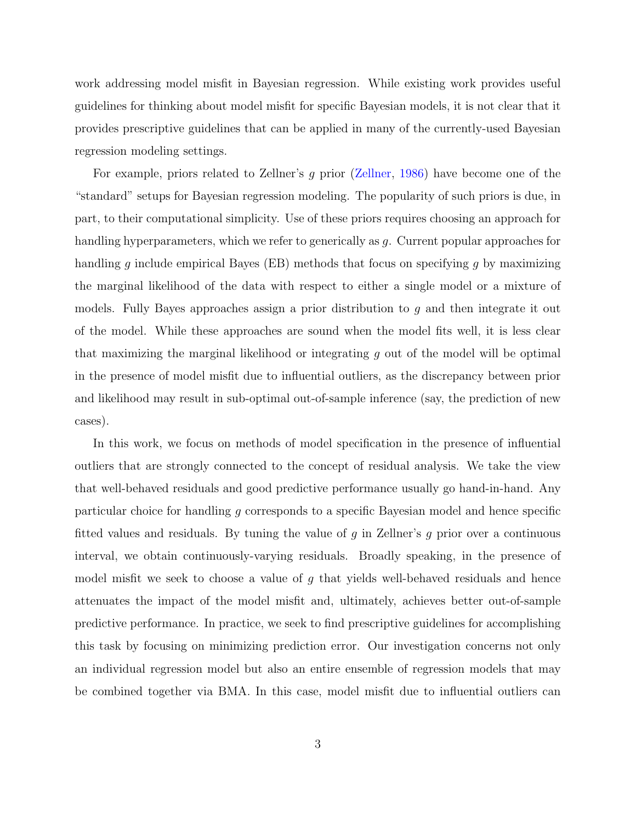work addressing model misfit in Bayesian regression. While existing work provides useful guidelines for thinking about model misfit for specific Bayesian models, it is not clear that it provides prescriptive guidelines that can be applied in many of the currently-used Bayesian regression modeling settings.

For example, priors related to Zellner's g prior [\(Zellner,](#page-40-0) [1986\)](#page-40-0) have become one of the "standard" setups for Bayesian regression modeling. The popularity of such priors is due, in part, to their computational simplicity. Use of these priors requires choosing an approach for handling hyperparameters, which we refer to generically as g. Current popular approaches for handling g include empirical Bayes (EB) methods that focus on specifying g by maximizing the marginal likelihood of the data with respect to either a single model or a mixture of models. Fully Bayes approaches assign a prior distribution to g and then integrate it out of the model. While these approaches are sound when the model fits well, it is less clear that maximizing the marginal likelihood or integrating  $g$  out of the model will be optimal in the presence of model misfit due to influential outliers, as the discrepancy between prior and likelihood may result in sub-optimal out-of-sample inference (say, the prediction of new cases).

In this work, we focus on methods of model specification in the presence of influential outliers that are strongly connected to the concept of residual analysis. We take the view that well-behaved residuals and good predictive performance usually go hand-in-hand. Any particular choice for handling g corresponds to a specific Bayesian model and hence specific fitted values and residuals. By tuning the value of  $g$  in Zellner's  $g$  prior over a continuous interval, we obtain continuously-varying residuals. Broadly speaking, in the presence of model misfit we seek to choose a value of g that yields well-behaved residuals and hence attenuates the impact of the model misfit and, ultimately, achieves better out-of-sample predictive performance. In practice, we seek to find prescriptive guidelines for accomplishing this task by focusing on minimizing prediction error. Our investigation concerns not only an individual regression model but also an entire ensemble of regression models that may be combined together via BMA. In this case, model misfit due to influential outliers can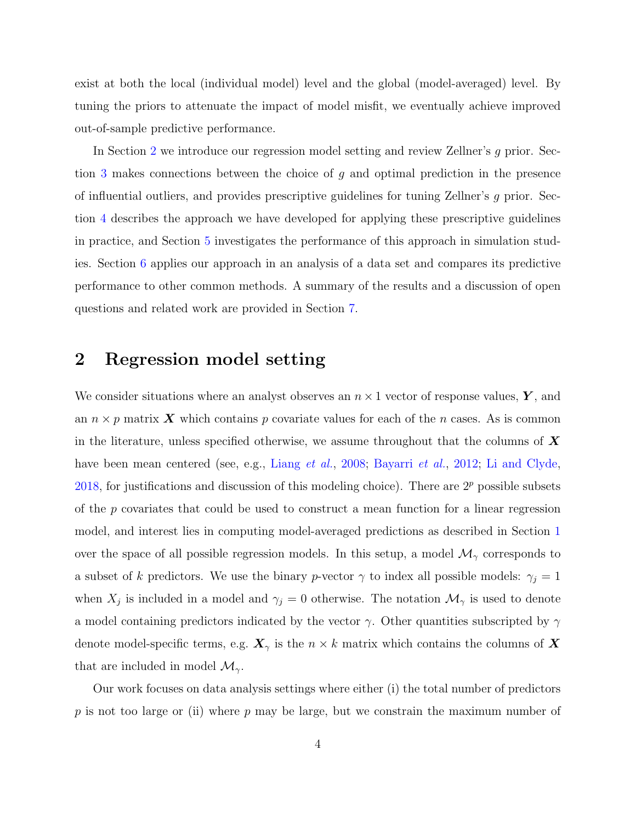exist at both the local (individual model) level and the global (model-averaged) level. By tuning the priors to attenuate the impact of model misfit, we eventually achieve improved out-of-sample predictive performance.

In Section [2](#page-3-0) we introduce our regression model setting and review Zellner's g prior. Section [3](#page-8-0) makes connections between the choice of g and optimal prediction in the presence of influential outliers, and provides prescriptive guidelines for tuning Zellner's  $q$  prior. Section [4](#page-18-0) describes the approach we have developed for applying these prescriptive guidelines in practice, and Section [5](#page-24-0) investigates the performance of this approach in simulation studies. Section [6](#page-29-0) applies our approach in an analysis of a data set and compares its predictive performance to other common methods. A summary of the results and a discussion of open questions and related work are provided in Section [7.](#page-33-0)

## <span id="page-3-0"></span>2 Regression model setting

We consider situations where an analyst observes an  $n \times 1$  vector of response values, Y, and an  $n \times p$  matrix X which contains p covariate values for each of the n cases. As is common in the literature, unless specified otherwise, we assume throughout that the columns of  $\bm{X}$ have been mean centered (see, e.g., [Liang](#page-38-2) *et al.*, [2008;](#page-38-2) [Bayarri](#page-36-4) *et al.*, [2012;](#page-36-4) [Li and Clyde,](#page-38-3) [2018,](#page-38-3) for justifications and discussion of this modeling choice). There are  $2<sup>p</sup>$  possible subsets of the p covariates that could be used to construct a mean function for a linear regression model, and interest lies in computing model-averaged predictions as described in Section [1](#page-0-0) over the space of all possible regression models. In this setup, a model  $\mathcal{M}_{\gamma}$  corresponds to a subset of k predictors. We use the binary p-vector  $\gamma$  to index all possible models:  $\gamma_j = 1$ when  $X_j$  is included in a model and  $\gamma_j = 0$  otherwise. The notation  $\mathcal{M}_{\gamma}$  is used to denote a model containing predictors indicated by the vector  $\gamma$ . Other quantities subscripted by  $\gamma$ denote model-specific terms, e.g.  $\mathbf{X}_{\gamma}$  is the  $n \times k$  matrix which contains the columns of X that are included in model  $\mathcal{M}_{\gamma}$ .

Our work focuses on data analysis settings where either (i) the total number of predictors  $p$  is not too large or (ii) where  $p$  may be large, but we constrain the maximum number of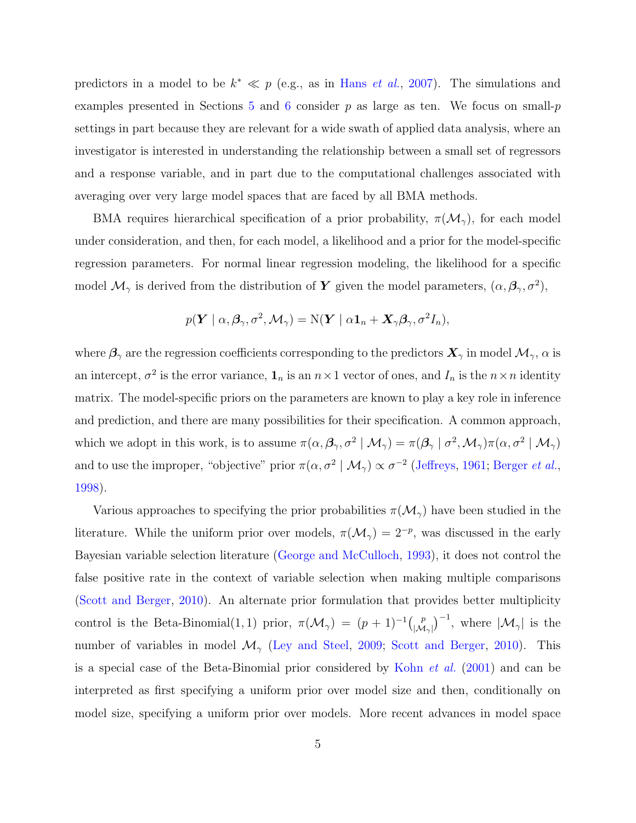predictors in a model to be  $k^* \ll p$  (e.g., as in Hans *[et al.](#page-38-4)*, [2007\)](#page-38-4). The simulations and examples presented in Sections [5](#page-24-0) and [6](#page-29-0) consider  $p$  as large as ten. We focus on small- $p$ settings in part because they are relevant for a wide swath of applied data analysis, where an investigator is interested in understanding the relationship between a small set of regressors and a response variable, and in part due to the computational challenges associated with averaging over very large model spaces that are faced by all BMA methods.

BMA requires hierarchical specification of a prior probability,  $\pi(\mathcal{M}_{\gamma})$ , for each model under consideration, and then, for each model, a likelihood and a prior for the model-specific regression parameters. For normal linear regression modeling, the likelihood for a specific model  $\mathcal{M}_{\gamma}$  is derived from the distribution of Y given the model parameters,  $(\alpha, \beta_{\gamma}, \sigma^2)$ ,

$$
p(\boldsymbol{Y} \mid \alpha, \boldsymbol{\beta}_{\gamma}, \sigma^2, \mathcal{M}_{\gamma}) = N(\boldsymbol{Y} \mid \alpha \boldsymbol{1}_n + \boldsymbol{X}_{\gamma} \boldsymbol{\beta}_{\gamma}, \sigma^2 I_n),
$$

where  $\beta_{\gamma}$  are the regression coefficients corresponding to the predictors  $\mathbf{X}_{\gamma}$  in model  $\mathcal{M}_{\gamma}$ ,  $\alpha$  is an intercept,  $\sigma^2$  is the error variance,  $\mathbf{1}_n$  is an  $n \times 1$  vector of ones, and  $I_n$  is the  $n \times n$  identity matrix. The model-specific priors on the parameters are known to play a key role in inference and prediction, and there are many possibilities for their specification. A common approach, which we adopt in this work, is to assume  $\pi(\alpha, \beta_{\gamma}, \sigma^2 \mid \mathcal{M}_{\gamma}) = \pi(\beta_{\gamma} \mid \sigma^2, \mathcal{M}_{\gamma})\pi(\alpha, \sigma^2 \mid \mathcal{M}_{\gamma})$ and to use the improper, "objective" prior  $\pi(\alpha, \sigma^2 \mid \mathcal{M}_{\gamma}) \propto \sigma^{-2}$  [\(Jeffreys,](#page-38-5) [1961;](#page-38-5) [Berger](#page-36-5) *et al.*, [1998\)](#page-36-5).

Various approaches to specifying the prior probabilities  $\pi(\mathcal{M}_{\gamma})$  have been studied in the literature. While the uniform prior over models,  $\pi(\mathcal{M}_{\gamma}) = 2^{-p}$ , was discussed in the early Bayesian variable selection literature [\(George and McCulloch,](#page-37-0) [1993\)](#page-37-0), it does not control the false positive rate in the context of variable selection when making multiple comparisons [\(Scott and Berger,](#page-39-5) [2010\)](#page-39-5). An alternate prior formulation that provides better multiplicity control is the Beta-Binomial(1, 1) prior,  $\pi(\mathcal{M}_{\gamma}) = (p+1)^{-1} \begin{pmatrix} p \\ p \end{pmatrix}$  $\left|\mathcal{M}_{\gamma}\right|^{p}$ , where  $|\mathcal{M}_{\gamma}|$  is the number of variables in model  $\mathcal{M}_{\gamma}$  [\(Ley and Steel,](#page-38-6) [2009;](#page-38-6) [Scott and Berger,](#page-39-5) [2010\)](#page-39-5). This is a special case of the Beta-Binomial prior considered by [Kohn](#page-38-7) et al. [\(2001\)](#page-38-7) and can be interpreted as first specifying a uniform prior over model size and then, conditionally on model size, specifying a uniform prior over models. More recent advances in model space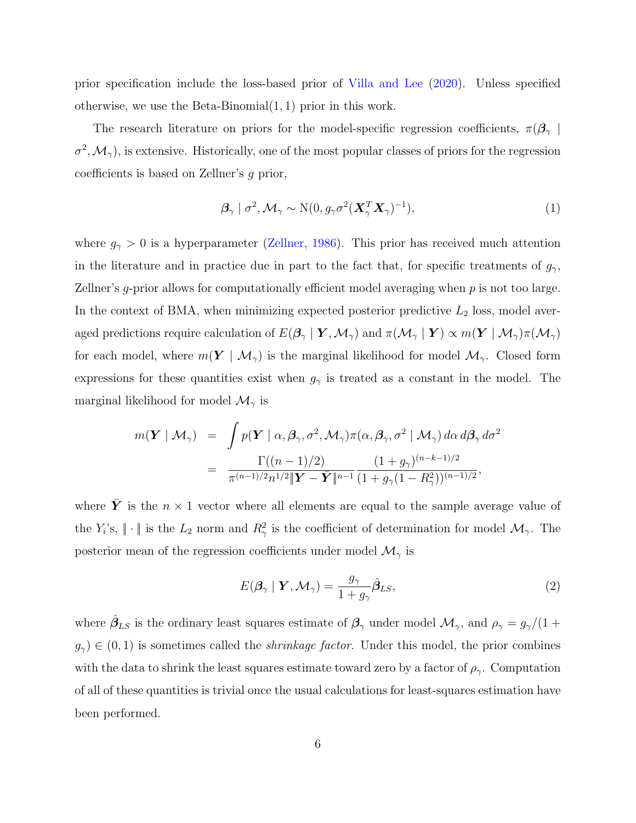prior specification include the loss-based prior of [Villa and Lee](#page-39-6) [\(2020\)](#page-39-6). Unless specified otherwise, we use the Beta-Binomial(1, 1) prior in this work.

The research literature on priors for the model-specific regression coefficients,  $\pi(\beta_{\gamma})$  $\sigma^2, \mathcal{M}_{\gamma}$ ), is extensive. Historically, one of the most popular classes of priors for the regression coefficients is based on Zellner's g prior,

<span id="page-5-0"></span>
$$
\boldsymbol{\beta}_{\gamma} \mid \sigma^2, \mathcal{M}_{\gamma} \sim \mathrm{N}(0, g_{\gamma} \sigma^2 (\boldsymbol{X}_{\gamma}^T \boldsymbol{X}_{\gamma})^{-1}), \tag{1}
$$

where  $g_{\gamma} > 0$  is a hyperparameter [\(Zellner,](#page-40-0) [1986\)](#page-40-0). This prior has received much attention in the literature and in practice due in part to the fact that, for specific treatments of  $g_{\gamma}$ , Zellner's g-prior allows for computationally efficient model averaging when p is not too large. In the context of BMA, when minimizing expected posterior predictive  $L_2$  loss, model averaged predictions require calculation of  $E(\mathcal{B}_{\gamma} | Y, \mathcal{M}_{\gamma})$  and  $\pi(\mathcal{M}_{\gamma} | Y) \propto m(Y | \mathcal{M}_{\gamma})\pi(\mathcal{M}_{\gamma})$ for each model, where  $m(Y | \mathcal{M}_{\gamma})$  is the marginal likelihood for model  $\mathcal{M}_{\gamma}$ . Closed form expressions for these quantities exist when  $g_{\gamma}$  is treated as a constant in the model. The marginal likelihood for model  $\mathcal{M}_{\gamma}$  is

$$
m(\mathbf{Y} \mid \mathcal{M}_{\gamma}) = \int p(\mathbf{Y} \mid \alpha, \beta_{\gamma}, \sigma^2, \mathcal{M}_{\gamma}) \pi(\alpha, \beta_{\gamma}, \sigma^2 \mid \mathcal{M}_{\gamma}) d\alpha d\beta_{\gamma} d\sigma^2
$$
  
= 
$$
\frac{\Gamma((n-1)/2)}{\pi^{(n-1)/2} n^{1/2} \|\mathbf{Y} - \bar{\mathbf{Y}}\|^{n-1}} \frac{(1 + g_{\gamma})^{(n-k-1)/2}}{(1 + g_{\gamma}(1 - R_{\gamma}^2))^{(n-1)/2}},
$$

where Y is the  $n \times 1$  vector where all elements are equal to the sample average value of the  $Y_i$ 's,  $\|\cdot\|$  is the  $L_2$  norm and  $R_\gamma^2$  is the coefficient of determination for model  $\mathcal{M}_\gamma$ . The posterior mean of the regression coefficients under model  $\mathcal{M}_{\gamma}$  is

<span id="page-5-1"></span>
$$
E(\boldsymbol{\beta}_{\gamma} \mid \boldsymbol{Y}, \mathcal{M}_{\gamma}) = \frac{g_{\gamma}}{1 + g_{\gamma}} \hat{\boldsymbol{\beta}}_{LS},
$$
\n(2)

where  $\hat{\beta}_{LS}$  is the ordinary least squares estimate of  $\beta_{\gamma}$  under model  $\mathcal{M}_{\gamma}$ , and  $\rho_{\gamma} = g_{\gamma}/(1 +$  $g_{\gamma}$ )  $\in$  (0, 1) is sometimes called the *shrinkage factor*. Under this model, the prior combines with the data to shrink the least squares estimate toward zero by a factor of  $\rho_{\gamma}$ . Computation of all of these quantities is trivial once the usual calculations for least-squares estimation have been performed.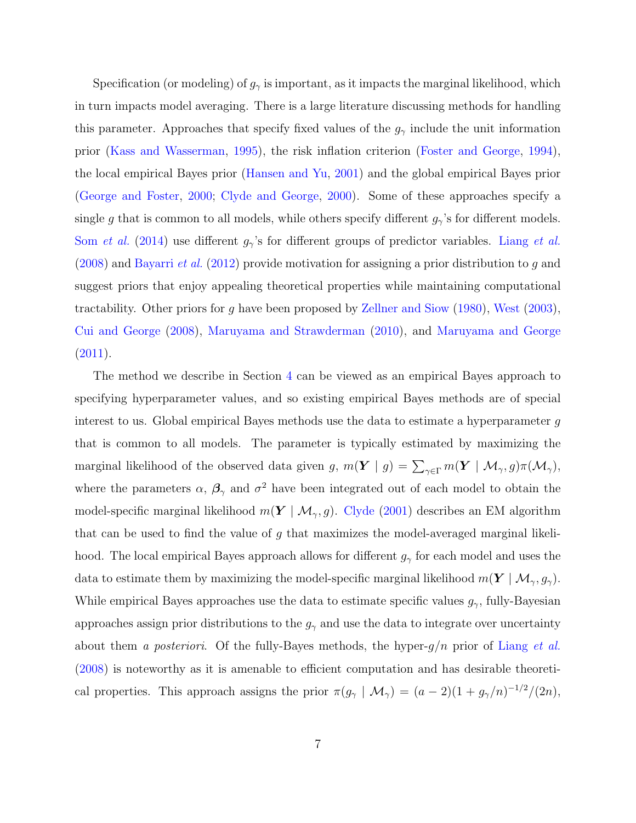Specification (or modeling) of  $g_{\gamma}$  is important, as it impacts the marginal likelihood, which in turn impacts model averaging. There is a large literature discussing methods for handling this parameter. Approaches that specify fixed values of the  $g_{\gamma}$  include the unit information prior [\(Kass and Wasserman,](#page-38-8) [1995\)](#page-38-8), the risk inflation criterion [\(Foster and George,](#page-37-3) [1994\)](#page-37-3), the local empirical Bayes prior [\(Hansen and Yu,](#page-38-9) [2001\)](#page-38-9) and the global empirical Bayes prior [\(George and Foster,](#page-37-4) [2000;](#page-37-4) [Clyde and George,](#page-37-5) [2000\)](#page-37-5). Some of these approaches specify a single g that is common to all models, while others specify different  $g_{\gamma}$ 's for different models. Som [et al.](#page-39-7) [\(2014\)](#page-39-7) use different  $g_{\gamma}$ 's for different groups of predictor variables. [Liang](#page-38-2) et al.  $(2008)$  and [Bayarri](#page-36-4) *et al.*  $(2012)$  provide motivation for assigning a prior distribution to g and suggest priors that enjoy appealing theoretical properties while maintaining computational tractability. Other priors for g have been proposed by [Zellner and Siow](#page-40-1) [\(1980\)](#page-40-1), [West](#page-40-2) [\(2003\)](#page-40-2), [Cui and George](#page-37-6) [\(2008\)](#page-37-6), [Maruyama and Strawderman](#page-39-8) [\(2010\)](#page-39-8), and [Maruyama and George](#page-38-10)  $(2011).$  $(2011).$ 

The method we describe in Section [4](#page-18-0) can be viewed as an empirical Bayes approach to specifying hyperparameter values, and so existing empirical Bayes methods are of special interest to us. Global empirical Bayes methods use the data to estimate a hyperparameter g that is common to all models. The parameter is typically estimated by maximizing the marginal likelihood of the observed data given  $g, m(\bm{Y} \mid g) = \sum_{\gamma \in \Gamma} m(\bm{Y} \mid \mathcal{M}_{\gamma}, g) \pi(\mathcal{M}_{\gamma}),$ where the parameters  $\alpha$ ,  $\beta_{\gamma}$  and  $\sigma^2$  have been integrated out of each model to obtain the model-specific marginal likelihood  $m(Y | \mathcal{M}_{\gamma}, g)$ . [Clyde](#page-37-7) [\(2001\)](#page-37-7) describes an EM algorithm that can be used to find the value of g that maximizes the model-averaged marginal likelihood. The local empirical Bayes approach allows for different  $g_{\gamma}$  for each model and uses the data to estimate them by maximizing the model-specific marginal likelihood  $m(\boldsymbol{Y} \mid \mathcal{M}_{\gamma}, g_{\gamma})$ . While empirical Bayes approaches use the data to estimate specific values  $g_{\gamma}$ , fully-Bayesian approaches assign prior distributions to the  $g_{\gamma}$  and use the data to integrate over uncertainty about them a posteriori. Of the fully-Bayes methods, the hyper- $g/n$  prior of [Liang](#page-38-2) et al. [\(2008\)](#page-38-2) is noteworthy as it is amenable to efficient computation and has desirable theoretical properties. This approach assigns the prior  $\pi(g_\gamma \mid \mathcal{M}_\gamma) = (a-2)(1+g_\gamma/n)^{-1/2}/(2n)$ ,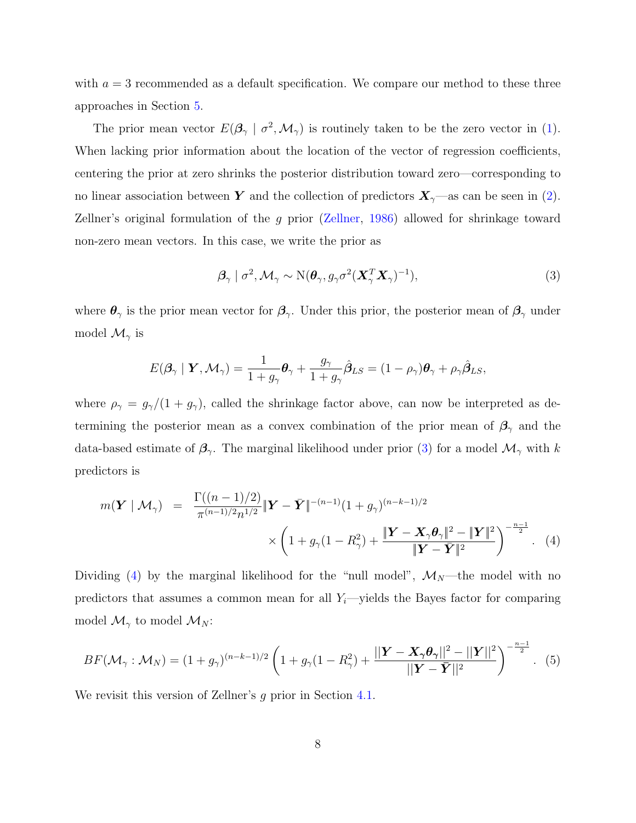with  $a = 3$  recommended as a default specification. We compare our method to these three approaches in Section [5.](#page-24-0)

The prior mean vector  $E(\beta_{\gamma} \mid \sigma^2, \mathcal{M}_{\gamma})$  is routinely taken to be the zero vector in [\(1\)](#page-5-0). When lacking prior information about the location of the vector of regression coefficients, centering the prior at zero shrinks the posterior distribution toward zero—corresponding to no linear association between Y and the collection of predictors  $X_{\gamma}$ —as can be seen in [\(2\)](#page-5-1). Zellner's original formulation of the g prior [\(Zellner,](#page-40-0) [1986\)](#page-40-0) allowed for shrinkage toward non-zero mean vectors. In this case, we write the prior as

<span id="page-7-0"></span>
$$
\boldsymbol{\beta}_{\gamma} \mid \sigma^2, \mathcal{M}_{\gamma} \sim \mathrm{N}(\boldsymbol{\theta}_{\gamma}, g_{\gamma} \sigma^2 (\boldsymbol{X}_{\gamma}^T \boldsymbol{X}_{\gamma})^{-1}), \tag{3}
$$

where  $\theta_{\gamma}$  is the prior mean vector for  $\beta_{\gamma}$ . Under this prior, the posterior mean of  $\beta_{\gamma}$  under model  $\mathcal{M}_{\gamma}$  is

$$
E(\boldsymbol{\beta}_{\gamma} \mid \boldsymbol{Y}, \mathcal{M}_{\gamma}) = \frac{1}{1 + g_{\gamma}} \boldsymbol{\theta}_{\gamma} + \frac{g_{\gamma}}{1 + g_{\gamma}} \hat{\boldsymbol{\beta}}_{LS} = (1 - \rho_{\gamma}) \boldsymbol{\theta}_{\gamma} + \rho_{\gamma} \hat{\boldsymbol{\beta}}_{LS},
$$

where  $\rho_{\gamma} = g_{\gamma}/(1 + g_{\gamma})$ , called the shrinkage factor above, can now be interpreted as determining the posterior mean as a convex combination of the prior mean of  $\beta_{\gamma}$  and the data-based estimate of  $\beta_{\gamma}$ . The marginal likelihood under prior [\(3\)](#page-7-0) for a model  $\mathcal{M}_{\gamma}$  with k predictors is

<span id="page-7-1"></span>
$$
m(\mathbf{Y} \mid \mathcal{M}_{\gamma}) = \frac{\Gamma((n-1)/2)}{\pi^{(n-1)/2} n^{1/2}} \|\mathbf{Y} - \bar{\mathbf{Y}}\|^{-(n-1)} (1 + g_{\gamma})^{(n-k-1)/2} \times \left(1 + g_{\gamma} (1 - R_{\gamma}^2) + \frac{\|\mathbf{Y} - \mathbf{X}_{\gamma} \boldsymbol{\theta}_{\gamma}\|^2 - \|\mathbf{Y}\|^2}{\|\mathbf{Y} - \bar{\mathbf{Y}}\|^2}\right)^{-\frac{n-1}{2}}. (4)
$$

Dividing [\(4\)](#page-7-1) by the marginal likelihood for the "null model",  $\mathcal{M}_N$ —the model with no predictors that assumes a common mean for all  $Y_i$ —yields the Bayes factor for comparing model  $\mathcal{M}_{\gamma}$  to model  $\mathcal{M}_N$ :

<span id="page-7-2"></span>
$$
BF(\mathcal{M}_{\gamma}: \mathcal{M}_{N}) = (1+g_{\gamma})^{(n-k-1)/2} \left(1+g_{\gamma}(1-R_{\gamma}^{2}) + \frac{||\mathbf{Y}-\mathbf{X}_{\gamma}\boldsymbol{\theta}_{\gamma}||^{2}-||\mathbf{Y}||^{2}}{||\mathbf{Y}-\bar{\mathbf{Y}}||^{2}}\right)^{-\frac{n-1}{2}}.
$$
 (5)

We revisit this version of Zellner's g prior in Section [4.1.](#page-20-0)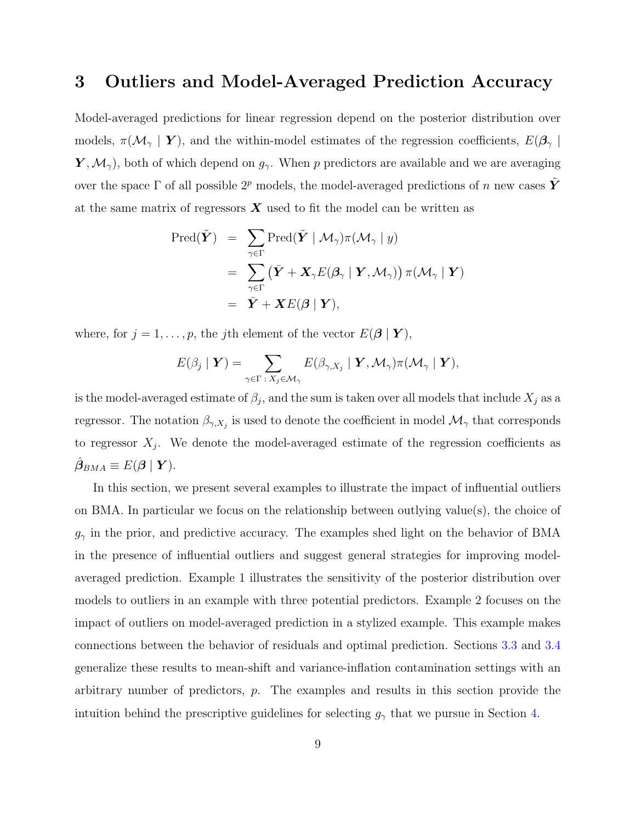## <span id="page-8-0"></span>3 Outliers and Model-Averaged Prediction Accuracy

Model-averaged predictions for linear regression depend on the posterior distribution over models,  $\pi(\mathcal{M}_{\gamma} | Y)$ , and the within-model estimates of the regression coefficients,  $E(\beta_{\gamma} | Y)$  $\boldsymbol{Y}, \mathcal{M}_{\gamma}$ , both of which depend on  $g_{\gamma}$ . When p predictors are available and we are averaging over the space  $\Gamma$  of all possible  $2^p$  models, the model-averaged predictions of n new cases Y at the same matrix of regressors  $\boldsymbol{X}$  used to fit the model can be written as

$$
\begin{aligned} \text{Pred}(\tilde{\boldsymbol{Y}}) &= \sum_{\gamma \in \Gamma} \text{Pred}(\tilde{\boldsymbol{Y}} \mid \mathcal{M}_{\gamma}) \pi(\mathcal{M}_{\gamma} \mid y) \\ &= \sum_{\gamma \in \Gamma} (\bar{\boldsymbol{Y}} + \boldsymbol{X}_{\gamma} E(\boldsymbol{\beta}_{\gamma} \mid \boldsymbol{Y}, \mathcal{M}_{\gamma})) \pi(\mathcal{M}_{\gamma} \mid \boldsymbol{Y}) \\ &= \bar{\boldsymbol{Y}} + \boldsymbol{X} E(\boldsymbol{\beta} \mid \boldsymbol{Y}), \end{aligned}
$$

where, for  $j = 1, \ldots, p$ , the jth element of the vector  $E(\beta | Y)$ ,

$$
E(\beta_j \mid \boldsymbol{Y}) = \sum_{\gamma \in \Gamma \, : \, X_j \in \mathcal{M}_{\gamma}} E(\beta_{\gamma, X_j} \mid \boldsymbol{Y}, \mathcal{M}_{\gamma}) \pi(\mathcal{M}_{\gamma} \mid \boldsymbol{Y}),
$$

is the model-averaged estimate of  $\beta_j$ , and the sum is taken over all models that include  $X_j$  as a regressor. The notation  $\beta_{\gamma, X_j}$  is used to denote the coefficient in model  $\mathcal{M}_{\gamma}$  that corresponds to regressor  $X_j$ . We denote the model-averaged estimate of the regression coefficients as  $\hat{\boldsymbol{\beta}}_{BMA} \equiv E(\boldsymbol{\beta} \mid \boldsymbol{Y}).$ 

In this section, we present several examples to illustrate the impact of influential outliers on BMA. In particular we focus on the relationship between outlying value(s), the choice of  $g_{\gamma}$  in the prior, and predictive accuracy. The examples shed light on the behavior of BMA in the presence of influential outliers and suggest general strategies for improving modelaveraged prediction. Example 1 illustrates the sensitivity of the posterior distribution over models to outliers in an example with three potential predictors. Example 2 focuses on the impact of outliers on model-averaged prediction in a stylized example. This example makes connections between the behavior of residuals and optimal prediction. Sections [3.3](#page-16-0) and [3.4](#page-18-1) generalize these results to mean-shift and variance-inflation contamination settings with an arbitrary number of predictors, p. The examples and results in this section provide the intuition behind the prescriptive guidelines for selecting  $g_{\gamma}$  that we pursue in Section [4.](#page-18-0)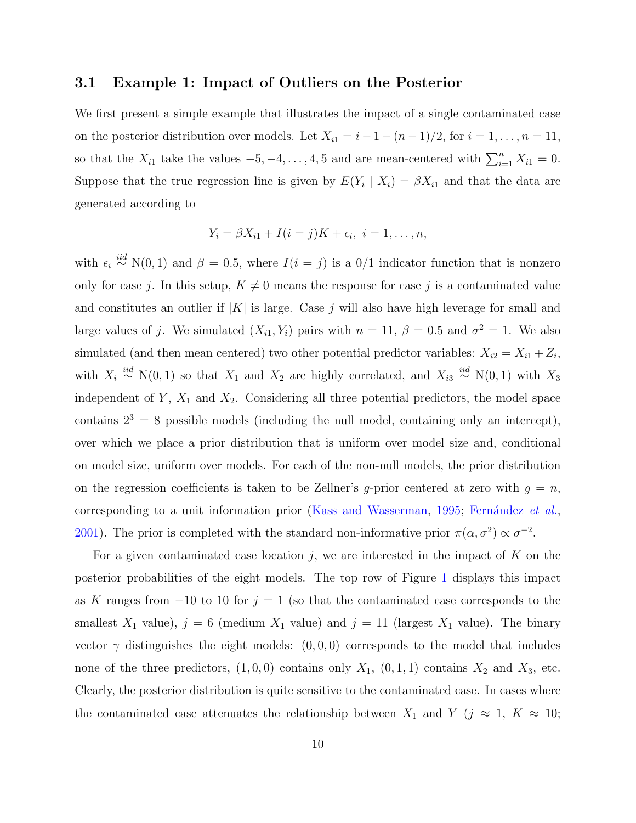#### <span id="page-9-0"></span>3.1 Example 1: Impact of Outliers on the Posterior

We first present a simple example that illustrates the impact of a single contaminated case on the posterior distribution over models. Let  $X_{i1} = i - 1 - (n - 1)/2$ , for  $i = 1, ..., n = 11$ , so that the  $X_{i1}$  take the values  $-5, -4, \ldots, 4, 5$  and are mean-centered with  $\sum_{i=1}^{n} X_{i1} = 0$ . Suppose that the true regression line is given by  $E(Y_i | X_i) = \beta X_{i1}$  and that the data are generated according to

$$
Y_i = \beta X_{i1} + I(i = j)K + \epsilon_i, i = 1, \ldots, n,
$$

with  $\epsilon_i \stackrel{iid}{\sim} N(0, 1)$  and  $\beta = 0.5$ , where  $I(i = j)$  is a 0/1 indicator function that is nonzero only for case j. In this setup,  $K \neq 0$  means the response for case j is a contaminated value and constitutes an outlier if  $|K|$  is large. Case j will also have high leverage for small and large values of j. We simulated  $(X_{i1}, Y_i)$  pairs with  $n = 11$ ,  $\beta = 0.5$  and  $\sigma^2 = 1$ . We also simulated (and then mean centered) two other potential predictor variables:  $X_{i2} = X_{i1} + Z_i$ , with  $X_i \stackrel{iid}{\sim} N(0,1)$  so that  $X_1$  and  $X_2$  are highly correlated, and  $X_{i3} \stackrel{iid}{\sim} N(0,1)$  with  $X_3$ independent of  $Y$ ,  $X_1$  and  $X_2$ . Considering all three potential predictors, the model space contains  $2^3 = 8$  possible models (including the null model, containing only an intercept), over which we place a prior distribution that is uniform over model size and, conditional on model size, uniform over models. For each of the non-null models, the prior distribution on the regression coefficients is taken to be Zellner's g-prior centered at zero with  $g = n$ , corresponding to a unit information prior [\(Kass and Wasserman,](#page-38-8) [1995;](#page-38-8) Fernández et al., [2001\)](#page-37-8). The prior is completed with the standard non-informative prior  $\pi(\alpha, \sigma^2) \propto \sigma^{-2}$ .

For a given contaminated case location j, we are interested in the impact of K on the posterior probabilities of the eight models. The top row of Figure [1](#page-11-0) displays this impact as K ranges from  $-10$  to 10 for  $j = 1$  (so that the contaminated case corresponds to the smallest  $X_1$  value),  $j = 6$  (medium  $X_1$  value) and  $j = 11$  (largest  $X_1$  value). The binary vector  $\gamma$  distinguishes the eight models:  $(0,0,0)$  corresponds to the model that includes none of the three predictors,  $(1, 0, 0)$  contains only  $X_1$ ,  $(0, 1, 1)$  contains  $X_2$  and  $X_3$ , etc. Clearly, the posterior distribution is quite sensitive to the contaminated case. In cases where the contaminated case attenuates the relationship between  $X_1$  and  $Y$  ( $j \approx 1, K \approx 10$ ;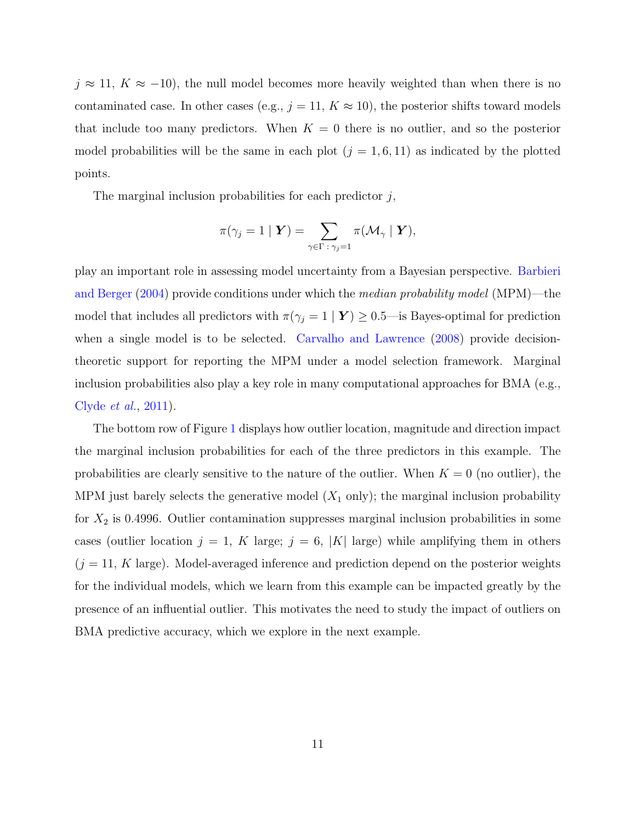$j \approx 11, K \approx -10$ , the null model becomes more heavily weighted than when there is no contaminated case. In other cases (e.g.,  $j = 11, K \approx 10$ ), the posterior shifts toward models that include too many predictors. When  $K = 0$  there is no outlier, and so the posterior model probabilities will be the same in each plot  $(j = 1, 6, 11)$  as indicated by the plotted points.

The marginal inclusion probabilities for each predictor  $j$ ,

$$
\pi(\gamma_j=1\mid \boldsymbol{Y})=\sum_{\gamma\in \Gamma\;:\; \gamma_j=1} \pi(\mathcal{M}_\gamma\mid \boldsymbol{Y}),
$$

play an important role in assessing model uncertainty from a Bayesian perspective. [Barbieri](#page-36-6) [and Berger](#page-36-6) [\(2004\)](#page-36-6) provide conditions under which the median probability model (MPM)—the model that includes all predictors with  $\pi(\gamma_j = 1 | Y) \ge 0.5$ —is Bayes-optimal for prediction when a single model is to be selected. [Carvalho and Lawrence](#page-36-7) [\(2008\)](#page-36-7) provide decisiontheoretic support for reporting the MPM under a model selection framework. Marginal inclusion probabilities also play a key role in many computational approaches for BMA (e.g., [Clyde](#page-36-8) et al., [2011\)](#page-36-8).

The bottom row of Figure [1](#page-11-0) displays how outlier location, magnitude and direction impact the marginal inclusion probabilities for each of the three predictors in this example. The probabilities are clearly sensitive to the nature of the outlier. When  $K = 0$  (no outlier), the MPM just barely selects the generative model  $(X_1 \text{ only})$ ; the marginal inclusion probability for  $X_2$  is 0.4996. Outlier contamination suppresses marginal inclusion probabilities in some cases (outlier location  $j = 1$ , K large;  $j = 6$ , |K| large) while amplifying them in others  $(j = 11, K \text{ large})$ . Model-averaged inference and prediction depend on the posterior weights for the individual models, which we learn from this example can be impacted greatly by the presence of an influential outlier. This motivates the need to study the impact of outliers on BMA predictive accuracy, which we explore in the next example.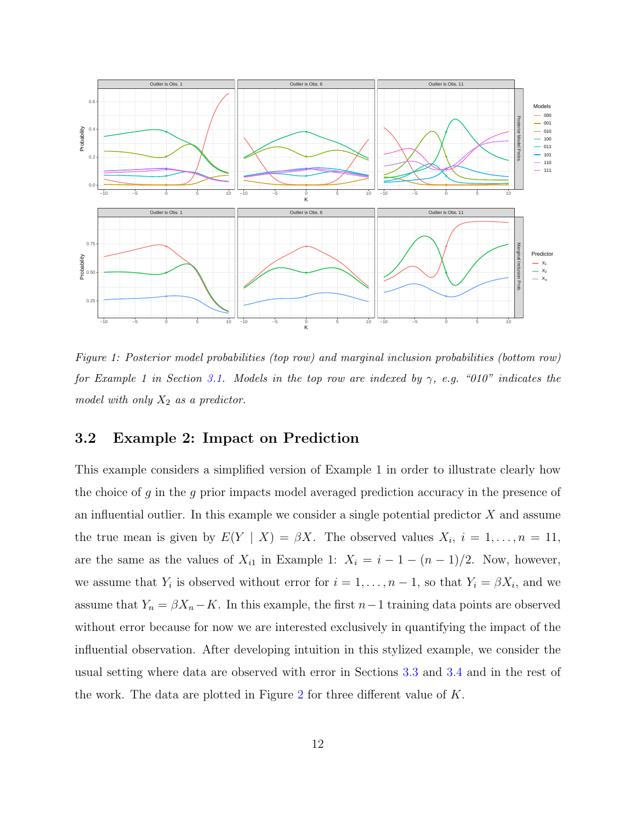<span id="page-11-0"></span>

Figure 1: Posterior model probabilities (top row) and marginal inclusion probabilities (bottom row) for Example 1 in Section [3.1.](#page-9-0) Models in the top row are indexed by  $\gamma$ , e.g. "010" indicates the model with only  $X_2$  as a predictor.

#### <span id="page-11-1"></span>3.2 Example 2: Impact on Prediction

This example considers a simplified version of Example 1 in order to illustrate clearly how the choice of q in the q prior impacts model averaged prediction accuracy in the presence of an influential outlier. In this example we consider a single potential predictor  $X$  and assume the true mean is given by  $E(Y | X) = \beta X$ . The observed values  $X_i$ ,  $i = 1, ..., n = 11$ , are the same as the values of  $X_{i1}$  in Example 1:  $X_i = i - 1 - (n - 1)/2$ . Now, however, we assume that  $Y_i$  is observed without error for  $i = 1, \ldots, n - 1$ , so that  $Y_i = \beta X_i$ , and we assume that  $Y_n = \beta X_n - K$ . In this example, the first  $n-1$  training data points are observed without error because for now we are interested exclusively in quantifying the impact of the influential observation. After developing intuition in this stylized example, we consider the usual setting where data are observed with error in Sections [3.3](#page-16-0) and [3.4](#page-18-1) and in the rest of the work. The data are plotted in Figure [2](#page-12-0) for three different value of  $K$ .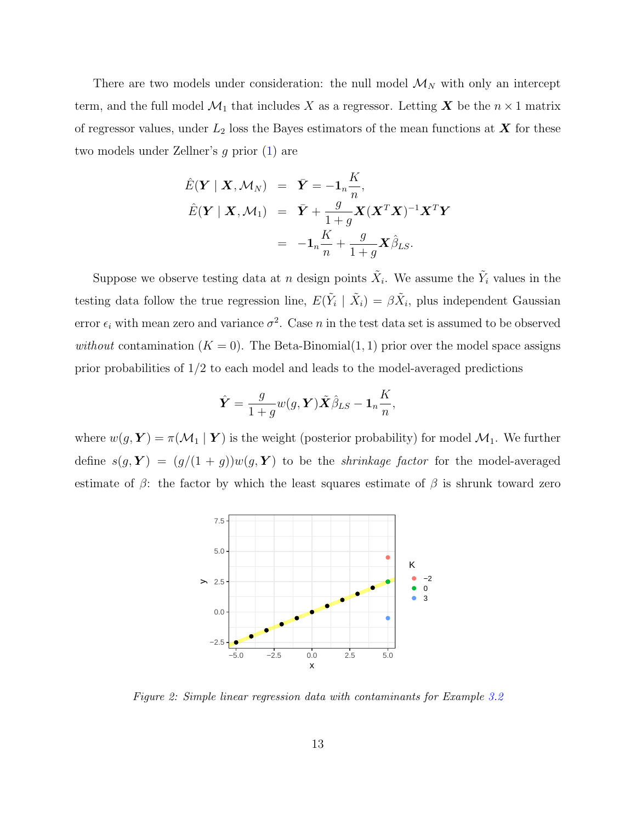There are two models under consideration: the null model  $\mathcal{M}_N$  with only an intercept term, and the full model  $\mathcal{M}_1$  that includes X as a regressor. Letting X be the  $n \times 1$  matrix of regressor values, under  $L_2$  loss the Bayes estimators of the mean functions at  $\boldsymbol{X}$  for these two models under Zellner's g prior [\(1\)](#page-5-0) are

$$
\hat{E}(\boldsymbol{Y} \mid \boldsymbol{X}, \mathcal{M}_N) = \bar{\boldsymbol{Y}} = -\mathbf{1}_n \frac{K}{n},
$$
\n
$$
\hat{E}(\boldsymbol{Y} \mid \boldsymbol{X}, \mathcal{M}_1) = \bar{\boldsymbol{Y}} + \frac{g}{1+g} \boldsymbol{X} (\boldsymbol{X}^T \boldsymbol{X})^{-1} \boldsymbol{X}^T \boldsymbol{Y}
$$
\n
$$
= -\mathbf{1}_n \frac{K}{n} + \frac{g}{1+g} \boldsymbol{X} \hat{\beta}_{LS}.
$$

Suppose we observe testing data at n design points  $\tilde{X}_i$ . We assume the  $\tilde{Y}_i$  values in the testing data follow the true regression line,  $E(\tilde{Y}_i | \tilde{X}_i) = \beta \tilde{X}_i$ , plus independent Gaussian error  $\epsilon_i$  with mean zero and variance  $\sigma^2$ . Case n in the test data set is assumed to be observed without contamination  $(K = 0)$ . The Beta-Binomial $(1, 1)$  prior over the model space assigns prior probabilities of 1/2 to each model and leads to the model-averaged predictions

$$
\hat{\bm{Y}} = \frac{g}{1+g} w(g, \bm{Y}) \tilde{\bm{X}} \hat{\beta}_{LS} - \bm{1}_n \frac{K}{n},
$$

<span id="page-12-0"></span>where  $w(g, Y) = \pi(\mathcal{M}_1 | Y)$  is the weight (posterior probability) for model  $\mathcal{M}_1$ . We further define  $s(g, Y) = (g/(1 + g))w(g, Y)$  to be the *shrinkage factor* for the model-averaged estimate of  $\beta$ : the factor by which the least squares estimate of  $\beta$  is shrunk toward zero



Figure 2: Simple linear regression data with contaminants for Example [3.2](#page-11-1)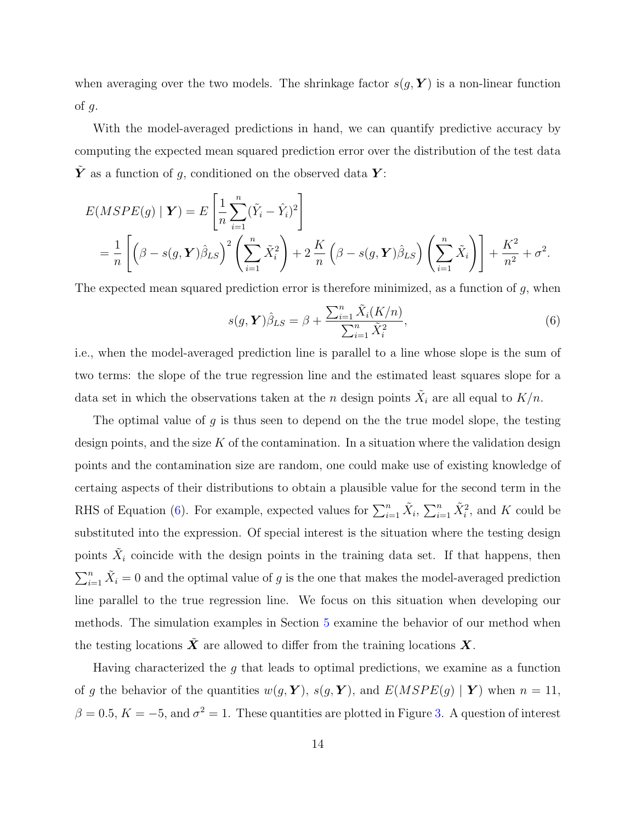when averaging over the two models. The shrinkage factor  $s(g, Y)$  is a non-linear function of  $q$ .

With the model-averaged predictions in hand, we can quantify predictive accuracy by computing the expected mean squared prediction error over the distribution of the test data  $\tilde{\boldsymbol{Y}}$  as a function of g, conditioned on the observed data  $\boldsymbol{Y}$ :

$$
E(MSPE(g) | \mathbf{Y}) = E\left[\frac{1}{n}\sum_{i=1}^{n} (\tilde{Y}_i - \hat{Y}_i)^2\right]
$$
  
=  $\frac{1}{n}\left[\left(\beta - s(g, \mathbf{Y})\hat{\beta}_{LS}\right)^2 \left(\sum_{i=1}^{n} \tilde{X}_i^2\right) + 2\frac{K}{n}\left(\beta - s(g, \mathbf{Y})\hat{\beta}_{LS}\right)\left(\sum_{i=1}^{n} \tilde{X}_i\right)\right] + \frac{K^2}{n^2} + \sigma^2.$ 

The expected mean squared prediction error is therefore minimized, as a function of  $g$ , when

<span id="page-13-0"></span>
$$
s(g, \mathbf{Y})\hat{\beta}_{LS} = \beta + \frac{\sum_{i=1}^{n} \tilde{X}_i(K/n)}{\sum_{i=1}^{n} \tilde{X}_i^2},\tag{6}
$$

i.e., when the model-averaged prediction line is parallel to a line whose slope is the sum of two terms: the slope of the true regression line and the estimated least squares slope for a data set in which the observations taken at the n design points  $\tilde{X}_i$  are all equal to  $K/n$ .

The optimal value of g is thus seen to depend on the the true model slope, the testing design points, and the size K of the contamination. In a situation where the validation design points and the contamination size are random, one could make use of existing knowledge of certaing aspects of their distributions to obtain a plausible value for the second term in the RHS of Equation [\(6\)](#page-13-0). For example, expected values for  $\sum_{i=1}^{n} \tilde{X}_i$ ,  $\sum_{i=1}^{n} \tilde{X}_i^2$ , and K could be substituted into the expression. Of special interest is the situation where the testing design points  $\tilde{X}_i$  coincide with the design points in the training data set. If that happens, then  $\sum_{i=1}^{n} \tilde{X}_i = 0$  and the optimal value of g is the one that makes the model-averaged prediction line parallel to the true regression line. We focus on this situation when developing our methods. The simulation examples in Section [5](#page-24-0) examine the behavior of our method when the testing locations  $\tilde{X}$  are allowed to differ from the training locations X.

Having characterized the g that leads to optimal predictions, we examine as a function of g the behavior of the quantities  $w(g, Y)$ ,  $s(g, Y)$ , and  $E(MSPE(g) | Y)$  when  $n = 11$ ,  $\beta = 0.5, K = -5$ , and  $\sigma^2 = 1$ . These quantities are plotted in Figure [3.](#page-15-0) A question of interest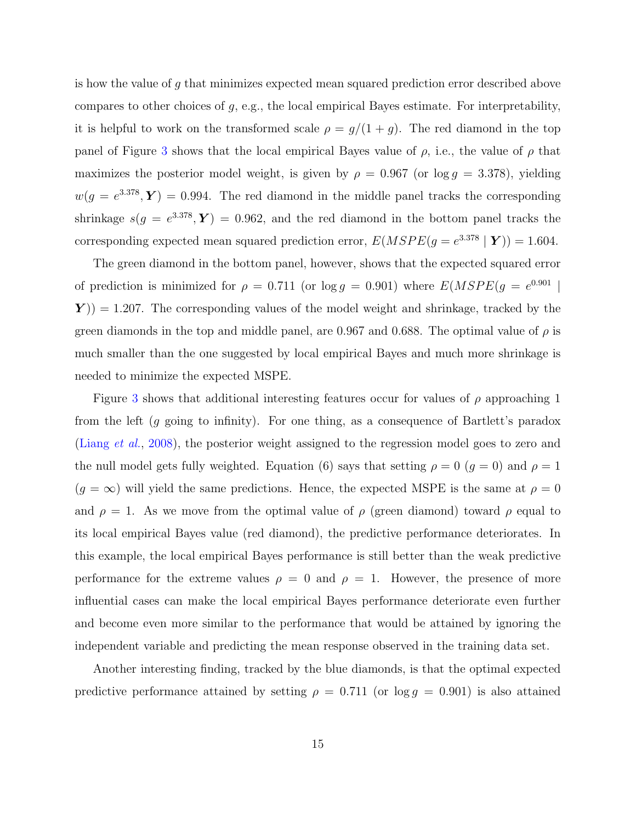is how the value of g that minimizes expected mean squared prediction error described above compares to other choices of g, e.g., the local empirical Bayes estimate. For interpretability, it is helpful to work on the transformed scale  $\rho = g/(1 + g)$ . The red diamond in the top panel of Figure [3](#page-15-0) shows that the local empirical Bayes value of  $\rho$ , i.e., the value of  $\rho$  that maximizes the posterior model weight, is given by  $\rho = 0.967$  (or  $\log g = 3.378$ ), yielding  $w(g = e^{3.378}, Y) = 0.994$ . The red diamond in the middle panel tracks the corresponding shrinkage  $s(g = e^{3.378}, Y) = 0.962$ , and the red diamond in the bottom panel tracks the corresponding expected mean squared prediction error,  $E(MSPE(g = e^{3.378} | Y)) = 1.604$ .

The green diamond in the bottom panel, however, shows that the expected squared error of prediction is minimized for  $\rho = 0.711$  (or  $\log g = 0.901$ ) where  $E(MSPE(g = e^{0.901})$  $(Y)$  = 1.207. The corresponding values of the model weight and shrinkage, tracked by the green diamonds in the top and middle panel, are 0.967 and 0.688. The optimal value of  $\rho$  is much smaller than the one suggested by local empirical Bayes and much more shrinkage is needed to minimize the expected MSPE.

Figure [3](#page-15-0) shows that additional interesting features occur for values of  $\rho$  approaching 1 from the left (g going to infinity). For one thing, as a consequence of Bartlett's paradox [\(Liang](#page-38-2) *et al.*, [2008\)](#page-38-2), the posterior weight assigned to the regression model goes to zero and the null model gets fully weighted. Equation (6) says that setting  $\rho = 0$  ( $g = 0$ ) and  $\rho = 1$  $(g = \infty)$  will yield the same predictions. Hence, the expected MSPE is the same at  $\rho = 0$ and  $\rho = 1$ . As we move from the optimal value of  $\rho$  (green diamond) toward  $\rho$  equal to its local empirical Bayes value (red diamond), the predictive performance deteriorates. In this example, the local empirical Bayes performance is still better than the weak predictive performance for the extreme values  $\rho = 0$  and  $\rho = 1$ . However, the presence of more influential cases can make the local empirical Bayes performance deteriorate even further and become even more similar to the performance that would be attained by ignoring the independent variable and predicting the mean response observed in the training data set.

Another interesting finding, tracked by the blue diamonds, is that the optimal expected predictive performance attained by setting  $\rho = 0.711$  (or  $\log g = 0.901$ ) is also attained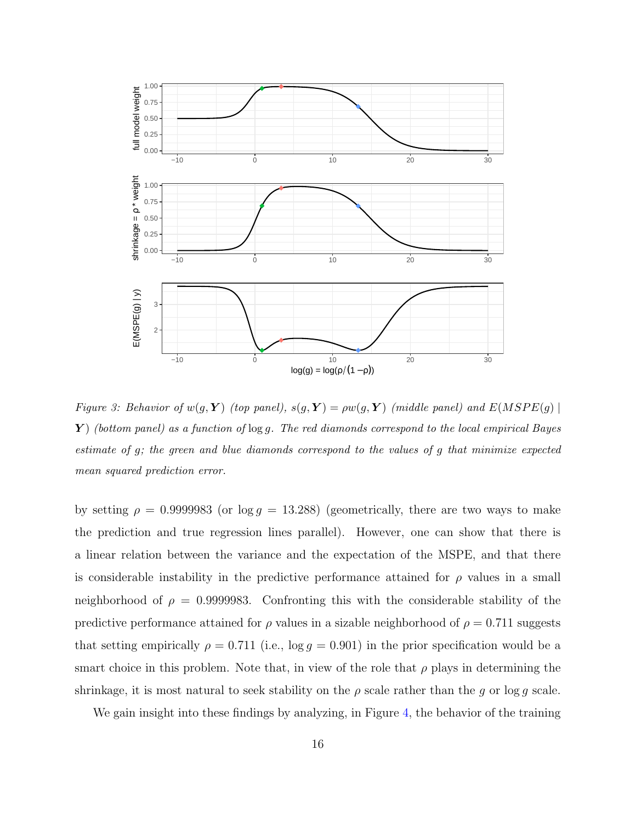<span id="page-15-0"></span>

Figure 3: Behavior of  $w(g, Y)$  (top panel),  $s(g, Y) = \rho w(g, Y)$  (middle panel) and  $E(MSPE(g)$  $\boldsymbol{Y}$ ) (bottom panel) as a function of  $\log g$ . The red diamonds correspond to the local empirical Bayes estimate of g; the green and blue diamonds correspond to the values of g that minimize expected mean squared prediction error.

by setting  $\rho = 0.9999983$  (or  $\log g = 13.288$ ) (geometrically, there are two ways to make the prediction and true regression lines parallel). However, one can show that there is a linear relation between the variance and the expectation of the MSPE, and that there is considerable instability in the predictive performance attained for  $\rho$  values in a small neighborhood of  $\rho = 0.9999983$ . Confronting this with the considerable stability of the predictive performance attained for  $\rho$  values in a sizable neighborhood of  $\rho = 0.711$  suggests that setting empirically  $\rho = 0.711$  (i.e.,  $\log g = 0.901$ ) in the prior specification would be a smart choice in this problem. Note that, in view of the role that  $\rho$  plays in determining the shrinkage, it is most natural to seek stability on the  $\rho$  scale rather than the g or log g scale.

We gain insight into these findings by analyzing, in Figure [4,](#page-16-1) the behavior of the training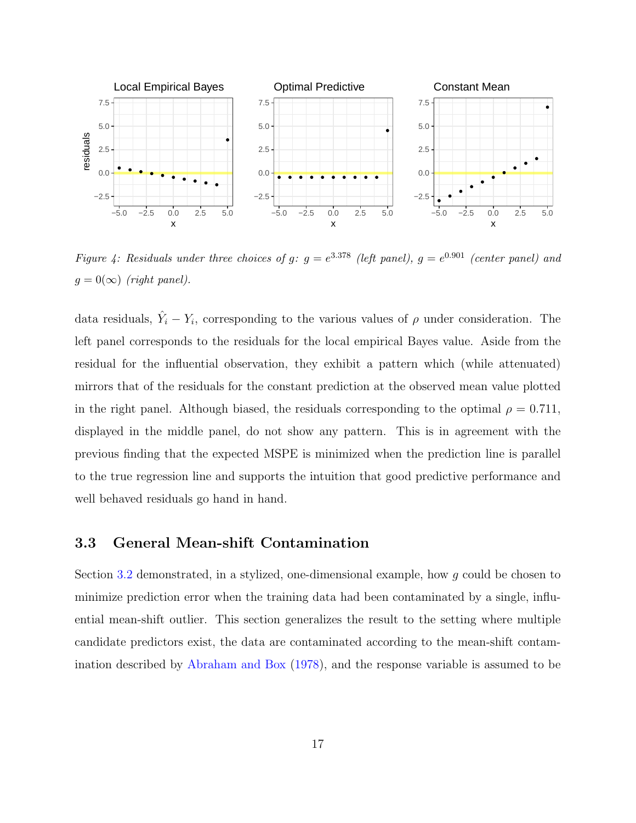<span id="page-16-1"></span>

Figure 4: Residuals under three choices of g:  $g = e^{3.378}$  (left panel),  $g = e^{0.901}$  (center panel) and  $g = 0(\infty)$  (right panel).

data residuals,  $\hat{Y}_i - Y_i$ , corresponding to the various values of  $\rho$  under consideration. The left panel corresponds to the residuals for the local empirical Bayes value. Aside from the residual for the influential observation, they exhibit a pattern which (while attenuated) mirrors that of the residuals for the constant prediction at the observed mean value plotted in the right panel. Although biased, the residuals corresponding to the optimal  $\rho = 0.711$ , displayed in the middle panel, do not show any pattern. This is in agreement with the previous finding that the expected MSPE is minimized when the prediction line is parallel to the true regression line and supports the intuition that good predictive performance and well behaved residuals go hand in hand.

#### <span id="page-16-0"></span>3.3 General Mean-shift Contamination

Section [3.2](#page-11-1) demonstrated, in a stylized, one-dimensional example, how g could be chosen to minimize prediction error when the training data had been contaminated by a single, influential mean-shift outlier. This section generalizes the result to the setting where multiple candidate predictors exist, the data are contaminated according to the mean-shift contamination described by [Abraham and Box](#page-35-0) [\(1978\)](#page-35-0), and the response variable is assumed to be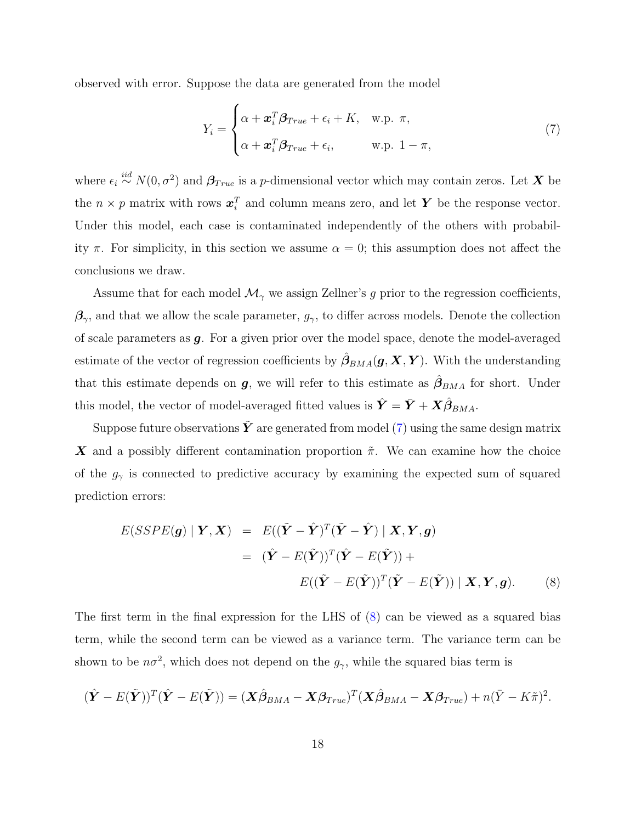observed with error. Suppose the data are generated from the model

<span id="page-17-0"></span>
$$
Y_i = \begin{cases} \alpha + \boldsymbol{x}_i^T \boldsymbol{\beta}_{True} + \epsilon_i + K, & \text{w.p. } \pi, \\ \alpha + \boldsymbol{x}_i^T \boldsymbol{\beta}_{True} + \epsilon_i, & \text{w.p. } 1 - \pi, \end{cases}
$$
(7)

where  $\epsilon_i \stackrel{iid}{\sim} N(0, \sigma^2)$  and  $\beta_{True}$  is a p-dimensional vector which may contain zeros. Let X be the  $n \times p$  matrix with rows  $x_i^T$  and column means zero, and let Y be the response vector. Under this model, each case is contaminated independently of the others with probability  $\pi$ . For simplicity, in this section we assume  $\alpha = 0$ ; this assumption does not affect the conclusions we draw.

Assume that for each model  $\mathcal{M}_{\gamma}$  we assign Zellner's g prior to the regression coefficients,  $\beta_{\gamma}$ , and that we allow the scale parameter,  $g_{\gamma}$ , to differ across models. Denote the collection of scale parameters as g. For a given prior over the model space, denote the model-averaged estimate of the vector of regression coefficients by  $\hat{\beta}_{BMA}(\boldsymbol{g},\boldsymbol{X},\boldsymbol{Y})$ . With the understanding that this estimate depends on  $g$ , we will refer to this estimate as  $\hat{\beta}_{BMA}$  for short. Under this model, the vector of model-averaged fitted values is  $\hat{\bm{Y}} = \bar{\bm{Y}} + \bm{X}\hat{\bm{\beta}}_{BMA}$ .

Suppose future observations  $\tilde{Y}$  are generated from model [\(7\)](#page-17-0) using the same design matrix **X** and a possibly different contamination proportion  $\tilde{\pi}$ . We can examine how the choice of the  $g_{\gamma}$  is connected to predictive accuracy by examining the expected sum of squared prediction errors:

<span id="page-17-1"></span>
$$
E(SSPE(\mathbf{g}) | \mathbf{Y}, \mathbf{X}) = E((\tilde{\mathbf{Y}} - \hat{\mathbf{Y}})^T (\tilde{\mathbf{Y}} - \hat{\mathbf{Y}}) | \mathbf{X}, \mathbf{Y}, \mathbf{g})
$$
  
= 
$$
(\hat{\mathbf{Y}} - E(\tilde{\mathbf{Y}}))^T (\hat{\mathbf{Y}} - E(\tilde{\mathbf{Y}})) +
$$
  

$$
E((\tilde{\mathbf{Y}} - E(\tilde{\mathbf{Y}}))^T (\tilde{\mathbf{Y}} - E(\tilde{\mathbf{Y}})) | \mathbf{X}, \mathbf{Y}, \mathbf{g}).
$$
 (8)

The first term in the final expression for the LHS of [\(8\)](#page-17-1) can be viewed as a squared bias term, while the second term can be viewed as a variance term. The variance term can be shown to be  $n\sigma^2$ , which does not depend on the  $g_{\gamma}$ , while the squared bias term is

$$
(\hat{\mathbf{Y}} - E(\tilde{\mathbf{Y}}))^T (\hat{\mathbf{Y}} - E(\tilde{\mathbf{Y}})) = (\mathbf{X}\hat{\boldsymbol{\beta}}_{BMA} - \mathbf{X}\boldsymbol{\beta}_{True})^T (\mathbf{X}\hat{\boldsymbol{\beta}}_{BMA} - \mathbf{X}\boldsymbol{\beta}_{True}) + n(\bar{Y} - K\tilde{\pi})^2.
$$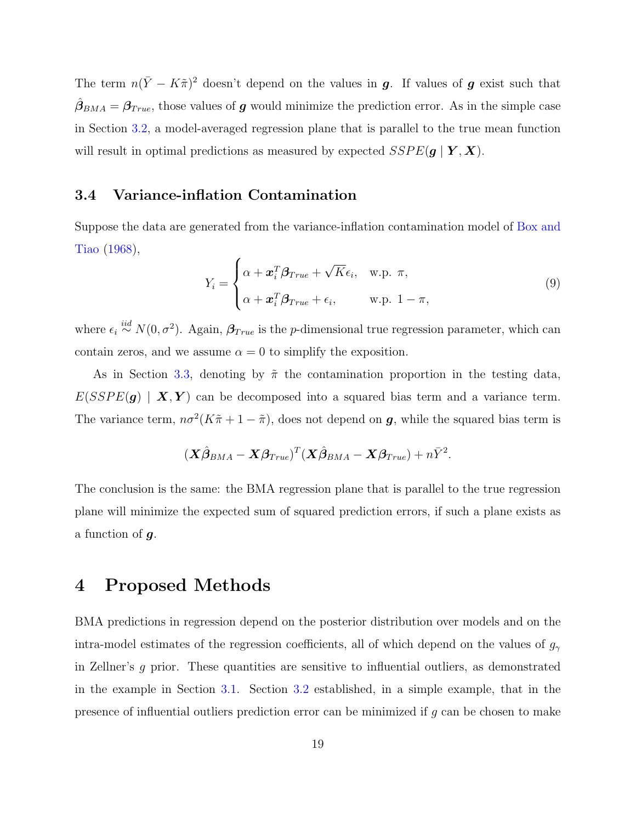The term  $n(\bar{Y} - K\tilde{\pi})^2$  doesn't depend on the values in g. If values of g exist such that  $\hat{\beta}_{BMA} = \beta_{True}$ , those values of g would minimize the prediction error. As in the simple case in Section [3.2,](#page-11-1) a model-averaged regression plane that is parallel to the true mean function will result in optimal predictions as measured by expected  $SSPE(g | Y, X)$ .

#### <span id="page-18-1"></span>3.4 Variance-inflation Contamination

Suppose the data are generated from the variance-inflation contamination model of [Box and](#page-36-9) [Tiao](#page-36-9) [\(1968\)](#page-36-9),

$$
Y_i = \begin{cases} \alpha + \boldsymbol{x}_i^T \boldsymbol{\beta}_{True} + \sqrt{K} \epsilon_i, & \text{w.p. } \pi, \\ \alpha + \boldsymbol{x}_i^T \boldsymbol{\beta}_{True} + \epsilon_i, & \text{w.p. } 1 - \pi, \end{cases}
$$
\n(9)

where  $\epsilon_i \stackrel{iid}{\sim} N(0, \sigma^2)$ . Again,  $\beta_{True}$  is the p-dimensional true regression parameter, which can contain zeros, and we assume  $\alpha = 0$  to simplify the exposition.

As in Section [3.3,](#page-16-0) denoting by  $\tilde{\pi}$  the contamination proportion in the testing data,  $E(SSPE(g) | X, Y)$  can be decomposed into a squared bias term and a variance term. The variance term,  $n\sigma^2(K\tilde{\pi}+1-\tilde{\pi})$ , does not depend on **g**, while the squared bias term is

$$
(\boldsymbol{X}\hat{\boldsymbol{\beta}}_{BMA}-\boldsymbol{X}\boldsymbol{\beta}_{True})^{T}(\boldsymbol{X}\hat{\boldsymbol{\beta}}_{BMA}-\boldsymbol{X}\boldsymbol{\beta}_{True})+n\bar{Y}^{2}.
$$

The conclusion is the same: the BMA regression plane that is parallel to the true regression plane will minimize the expected sum of squared prediction errors, if such a plane exists as a function of  $g$ .

## <span id="page-18-0"></span>4 Proposed Methods

BMA predictions in regression depend on the posterior distribution over models and on the intra-model estimates of the regression coefficients, all of which depend on the values of  $g_\gamma$ in Zellner's g prior. These quantities are sensitive to influential outliers, as demonstrated in the example in Section [3.1.](#page-9-0) Section [3.2](#page-11-1) established, in a simple example, that in the presence of influential outliers prediction error can be minimized if  $g$  can be chosen to make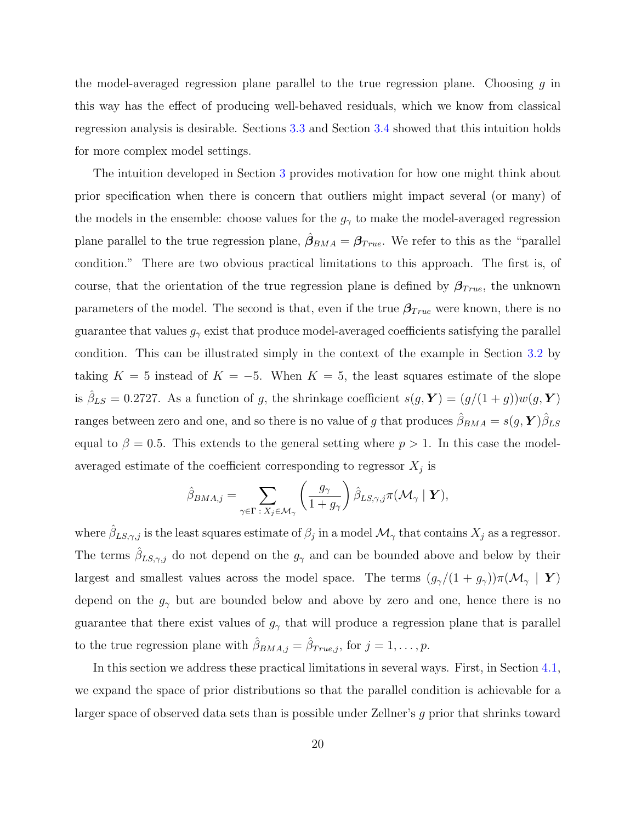the model-averaged regression plane parallel to the true regression plane. Choosing  $g$  in this way has the effect of producing well-behaved residuals, which we know from classical regression analysis is desirable. Sections [3.3](#page-16-0) and Section [3.4](#page-18-1) showed that this intuition holds for more complex model settings.

The intuition developed in Section [3](#page-8-0) provides motivation for how one might think about prior specification when there is concern that outliers might impact several (or many) of the models in the ensemble: choose values for the  $g_{\gamma}$  to make the model-averaged regression plane parallel to the true regression plane,  $\hat{\beta}_{BMA} = \beta_{True}$ . We refer to this as the "parallel condition." There are two obvious practical limitations to this approach. The first is, of course, that the orientation of the true regression plane is defined by  $\beta_{True}$ , the unknown parameters of the model. The second is that, even if the true  $\beta_{True}$  were known, there is no guarantee that values  $g_{\gamma}$  exist that produce model-averaged coefficients satisfying the parallel condition. This can be illustrated simply in the context of the example in Section [3.2](#page-11-1) by taking  $K = 5$  instead of  $K = -5$ . When  $K = 5$ , the least squares estimate of the slope is  $\hat{\beta}_{LS} = 0.2727$ . As a function of g, the shrinkage coefficient  $s(g, Y) = (g/(1 + g))w(g, Y)$ ranges between zero and one, and so there is no value of g that produces  $\hat{\beta}_{BMA} = s(g, \bm{Y})\hat{\beta}_{LS}$ equal to  $\beta = 0.5$ . This extends to the general setting where  $p > 1$ . In this case the modelaveraged estimate of the coefficient corresponding to regressor  $X_j$  is

$$
\hat{\beta}_{BMA,j} = \sum_{\gamma \in \Gamma \,:\, X_j \in \mathcal{M}_{\gamma}} \left( \frac{g_{\gamma}}{1 + g_{\gamma}} \right) \hat{\beta}_{LS,\gamma,j} \pi(\mathcal{M}_{\gamma} \mid \boldsymbol{Y}),
$$

where  $\hat{\beta}_{LS,\gamma,j}$  is the least squares estimate of  $\beta_j$  in a model  $\mathcal{M}_{\gamma}$  that contains  $X_j$  as a regressor. The terms  $\hat{\beta}_{LS,\gamma,j}$  do not depend on the  $g_{\gamma}$  and can be bounded above and below by their largest and smallest values across the model space. The terms  $(g_{\gamma}/(1 + g_{\gamma}))\pi(\mathcal{M}_{\gamma} | Y)$ depend on the  $g_{\gamma}$  but are bounded below and above by zero and one, hence there is no guarantee that there exist values of  $g_{\gamma}$  that will produce a regression plane that is parallel to the true regression plane with  $\hat{\beta}_{BMA,j} = \hat{\beta}_{True,j}$ , for  $j = 1, \ldots, p$ .

In this section we address these practical limitations in several ways. First, in Section [4.1,](#page-20-0) we expand the space of prior distributions so that the parallel condition is achievable for a larger space of observed data sets than is possible under Zellner's g prior that shrinks toward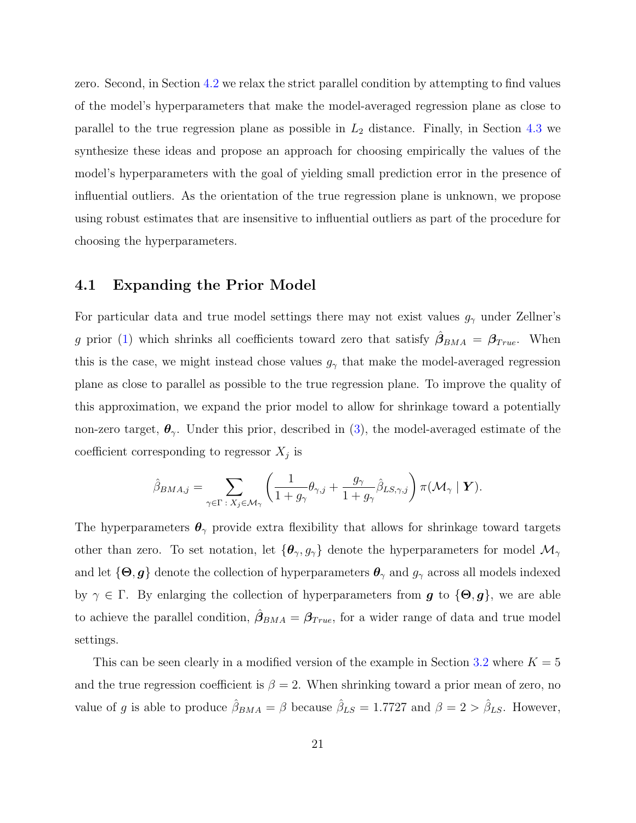zero. Second, in Section [4.2](#page-21-0) we relax the strict parallel condition by attempting to find values of the model's hyperparameters that make the model-averaged regression plane as close to parallel to the true regression plane as possible in  $L_2$  distance. Finally, in Section [4.3](#page-22-0) we synthesize these ideas and propose an approach for choosing empirically the values of the model's hyperparameters with the goal of yielding small prediction error in the presence of influential outliers. As the orientation of the true regression plane is unknown, we propose using robust estimates that are insensitive to influential outliers as part of the procedure for choosing the hyperparameters.

#### <span id="page-20-0"></span>4.1 Expanding the Prior Model

For particular data and true model settings there may not exist values  $g_{\gamma}$  under Zellner's g prior [\(1\)](#page-5-0) which shrinks all coefficients toward zero that satisfy  $\hat{\beta}_{BMA} = \beta_{True}$ . When this is the case, we might instead chose values  $g_{\gamma}$  that make the model-averaged regression plane as close to parallel as possible to the true regression plane. To improve the quality of this approximation, we expand the prior model to allow for shrinkage toward a potentially non-zero target,  $\theta_{\gamma}$ . Under this prior, described in [\(3\)](#page-7-0), the model-averaged estimate of the coefficient corresponding to regressor  $X_j$  is

$$
\hat{\beta}_{BMA,j} = \sum_{\gamma \in \Gamma \;:\; X_j \in \mathcal{M}_{\gamma}} \left( \frac{1}{1 + g_{\gamma}} \theta_{\gamma,j} + \frac{g_{\gamma}}{1 + g_{\gamma}} \hat{\beta}_{LS,\gamma,j} \right) \pi(\mathcal{M}_{\gamma} \mid \mathbf{Y}).
$$

The hyperparameters  $\theta_{\gamma}$  provide extra flexibility that allows for shrinkage toward targets other than zero. To set notation, let  $\{\theta_\gamma, g_\gamma\}$  denote the hyperparameters for model  $\mathcal{M}_\gamma$ and let  $\{\Theta, g\}$  denote the collection of hyperparameters  $\theta_{\gamma}$  and  $g_{\gamma}$  across all models indexed by  $\gamma \in \Gamma$ . By enlarging the collection of hyperparameters from  $g$  to  $\{\Theta, g\}$ , we are able to achieve the parallel condition,  $\hat{\beta}_{BMA} = \beta_{True}$ , for a wider range of data and true model settings.

This can be seen clearly in a modified version of the example in Section [3.2](#page-11-1) where  $K = 5$ and the true regression coefficient is  $\beta = 2$ . When shrinking toward a prior mean of zero, no value of g is able to produce  $\hat{\beta}_{BMA} = \beta$  because  $\hat{\beta}_{LS} = 1.7727$  and  $\beta = 2 > \hat{\beta}_{LS}$ . However,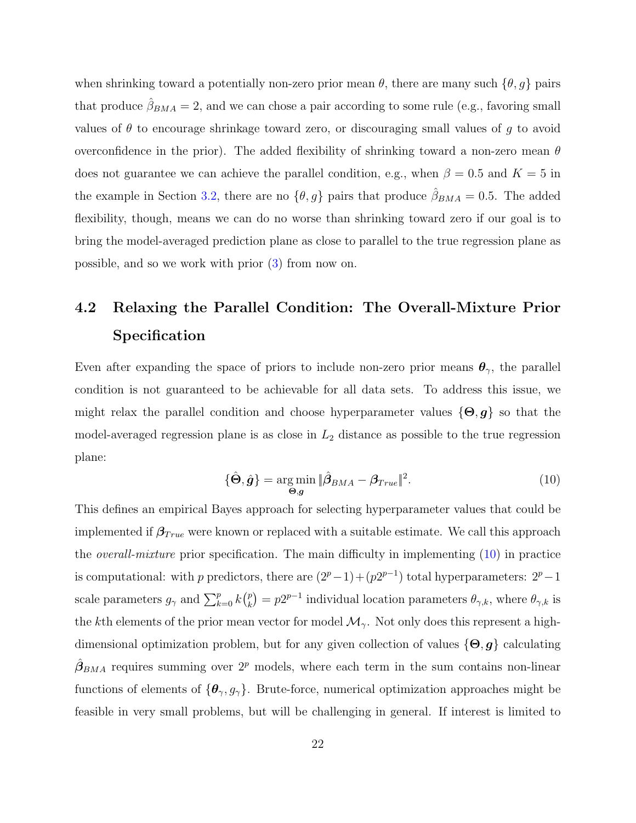when shrinking toward a potentially non-zero prior mean  $\theta$ , there are many such  $\{\theta, g\}$  pairs that produce  $\hat{\beta}_{BMA} = 2$ , and we can chose a pair according to some rule (e.g., favoring small values of  $\theta$  to encourage shrinkage toward zero, or discouraging small values of g to avoid overconfidence in the prior). The added flexibility of shrinking toward a non-zero mean  $\theta$ does not guarantee we can achieve the parallel condition, e.g., when  $\beta = 0.5$  and  $K = 5$  in the example in Section [3.2,](#page-11-1) there are no  $\{\theta, g\}$  pairs that produce  $\hat{\beta}_{BMA} = 0.5$ . The added flexibility, though, means we can do no worse than shrinking toward zero if our goal is to bring the model-averaged prediction plane as close to parallel to the true regression plane as possible, and so we work with prior [\(3\)](#page-7-0) from now on.

## <span id="page-21-0"></span>4.2 Relaxing the Parallel Condition: The Overall-Mixture Prior Specification

Even after expanding the space of priors to include non-zero prior means  $\theta_{\gamma}$ , the parallel condition is not guaranteed to be achievable for all data sets. To address this issue, we might relax the parallel condition and choose hyperparameter values  $\{\Theta, g\}$  so that the model-averaged regression plane is as close in  $L_2$  distance as possible to the true regression plane:

<span id="page-21-1"></span>
$$
\{\hat{\Theta}, \hat{g}\} = \underset{\Theta, g}{\arg \min} \|\hat{\beta}_{BMA} - \beta_{True}\|^2. \tag{10}
$$

This defines an empirical Bayes approach for selecting hyperparameter values that could be implemented if  $\beta_{True}$  were known or replaced with a suitable estimate. We call this approach the *overall-mixture* prior specification. The main difficulty in implementing  $(10)$  in practice is computational: with p predictors, there are  $(2^p-1)+(p2^{p-1})$  total hyperparameters:  $2^p-1$ scale parameters  $g_{\gamma}$  and  $\sum_{k=0}^{p} k {p \choose k}$  $\binom{p}{k} = p2^{p-1}$  individual location parameters  $\theta_{\gamma,k}$ , where  $\theta_{\gamma,k}$  is the kth elements of the prior mean vector for model  $\mathcal{M}_{\gamma}$ . Not only does this represent a highdimensional optimization problem, but for any given collection of values  $\{\Theta, g\}$  calculating  $\hat{\beta}_{BMA}$  requires summing over  $2^p$  models, where each term in the sum contains non-linear functions of elements of  $\{\theta_{\gamma}, g_{\gamma}\}\$ . Brute-force, numerical optimization approaches might be feasible in very small problems, but will be challenging in general. If interest is limited to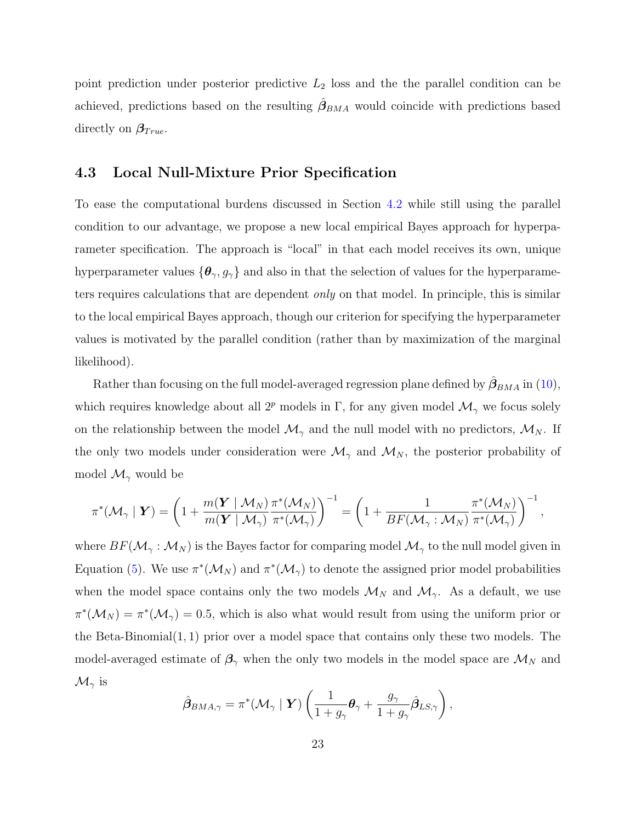point prediction under posterior predictive  $L_2$  loss and the the parallel condition can be achieved, predictions based on the resulting  $\hat{\beta}_{BMA}$  would coincide with predictions based directly on  $\beta_{True}$ .

#### <span id="page-22-0"></span>4.3 Local Null-Mixture Prior Specification

To ease the computational burdens discussed in Section [4.2](#page-21-0) while still using the parallel condition to our advantage, we propose a new local empirical Bayes approach for hyperparameter specification. The approach is "local" in that each model receives its own, unique hyperparameter values  $\{\theta_{\gamma}, g_{\gamma}\}\$  and also in that the selection of values for the hyperparameters requires calculations that are dependent *only* on that model. In principle, this is similar to the local empirical Bayes approach, though our criterion for specifying the hyperparameter values is motivated by the parallel condition (rather than by maximization of the marginal likelihood).

Rather than focusing on the full model-averaged regression plane defined by  $\hat{\beta}_{BMA}$  in [\(10\)](#page-21-1), which requires knowledge about all  $2^p$  models in Γ, for any given model  $\mathcal{M}_{\gamma}$  we focus solely on the relationship between the model  $\mathcal{M}_{\gamma}$  and the null model with no predictors,  $\mathcal{M}_{N}$ . If the only two models under consideration were  $\mathcal{M}_{\gamma}$  and  $\mathcal{M}_{N}$ , the posterior probability of model  $\mathcal{M}_{\gamma}$  would be

$$
\pi^*(\mathcal{M}_{\gamma} \mid \boldsymbol{Y}) = \left(1 + \frac{m(\boldsymbol{Y} \mid \mathcal{M}_N)}{m(\boldsymbol{Y} \mid \mathcal{M}_{\gamma})} \frac{\pi^*(\mathcal{M}_N)}{\pi^*(\mathcal{M}_{\gamma})}\right)^{-1} = \left(1 + \frac{1}{BF(\mathcal{M}_{\gamma} : \mathcal{M}_N)} \frac{\pi^*(\mathcal{M}_N)}{\pi^*(\mathcal{M}_{\gamma})}\right)^{-1},
$$

where  $BF(\mathcal{M}_{\gamma} : \mathcal{M}_N)$  is the Bayes factor for comparing model  $\mathcal{M}_{\gamma}$  to the null model given in Equation [\(5\)](#page-7-2). We use  $\pi^*(\mathcal{M}_N)$  and  $\pi^*(\mathcal{M}_\gamma)$  to denote the assigned prior model probabilities when the model space contains only the two models  $\mathcal{M}_N$  and  $\mathcal{M}_\gamma$ . As a default, we use  $\pi^*(\mathcal{M}_N) = \pi^*(\mathcal{M}_N) = 0.5$ , which is also what would result from using the uniform prior or the Beta-Binomial $(1, 1)$  prior over a model space that contains only these two models. The model-averaged estimate of  $\beta_{\gamma}$  when the only two models in the model space are  $\mathcal{M}_N$  and  $\mathcal{M}_{\gamma}$  is

$$
\hat{\boldsymbol{\beta}}_{BMA,\gamma} = \pi^*(\mathcal{M}_{\gamma} \mid \boldsymbol{Y}) \left( \frac{1}{1+g_{\gamma}} \boldsymbol{\theta}_{\gamma} + \frac{g_{\gamma}}{1+g_{\gamma}} \hat{\boldsymbol{\beta}}_{LS,\gamma} \right),
$$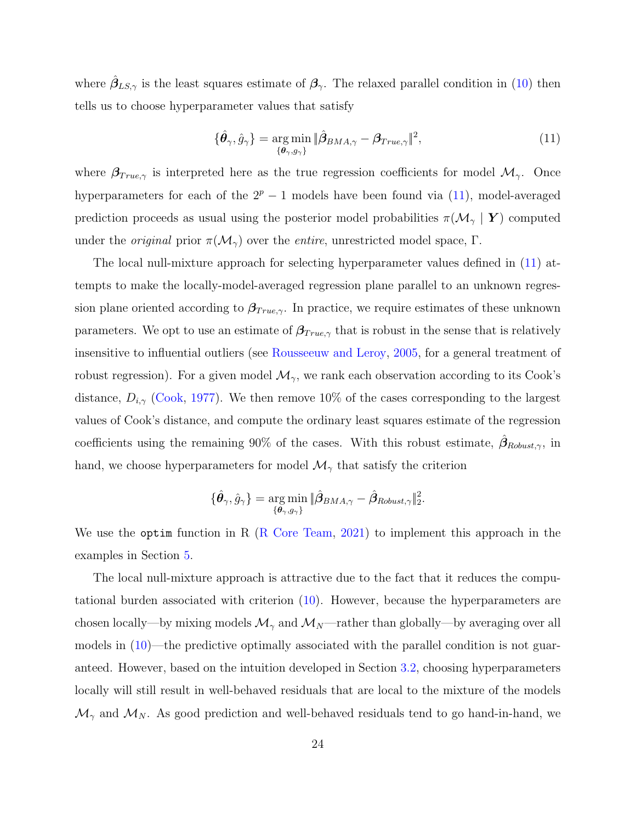where  $\hat{\beta}_{LS,\gamma}$  is the least squares estimate of  $\beta_{\gamma}$ . The relaxed parallel condition in [\(10\)](#page-21-1) then tells us to choose hyperparameter values that satisfy

<span id="page-23-0"></span>
$$
\{\hat{\boldsymbol{\theta}}_{\gamma}, \hat{g}_{\gamma}\} = \underset{\{\boldsymbol{\theta}_{\gamma}, g_{\gamma}\}}{\arg \min} \|\hat{\boldsymbol{\beta}}_{BMA, \gamma} - \boldsymbol{\beta}_{True, \gamma}\|^{2},\tag{11}
$$

where  $\beta_{True,\gamma}$  is interpreted here as the true regression coefficients for model  $\mathcal{M}_{\gamma}$ . Once hyperparameters for each of the  $2^p - 1$  models have been found via [\(11\)](#page-23-0), model-averaged prediction proceeds as usual using the posterior model probabilities  $\pi(\mathcal{M}_{\gamma} | Y)$  computed under the *original* prior  $\pi(\mathcal{M}_{\gamma})$  over the *entire*, unrestricted model space, Γ.

The local null-mixture approach for selecting hyperparameter values defined in [\(11\)](#page-23-0) attempts to make the locally-model-averaged regression plane parallel to an unknown regression plane oriented according to  $\beta_{True,\gamma}$ . In practice, we require estimates of these unknown parameters. We opt to use an estimate of  $\beta_{True,\gamma}$  that is robust in the sense that is relatively insensitive to influential outliers (see [Rousseeuw and Leroy,](#page-39-9) [2005,](#page-39-9) for a general treatment of robust regression). For a given model  $\mathcal{M}_{\gamma}$ , we rank each observation according to its Cook's distance,  $D_{i,\gamma}$  [\(Cook,](#page-37-9) [1977\)](#page-37-9). We then remove 10% of the cases corresponding to the largest values of Cook's distance, and compute the ordinary least squares estimate of the regression coefficients using the remaining 90% of the cases. With this robust estimate,  $\hat{\beta}_{Robust,\gamma}$ , in hand, we choose hyperparameters for model  $\mathcal{M}_{\gamma}$  that satisfy the criterion

$$
\{\hat{\bm{\theta}}_{\gamma},\hat{g}_{\gamma}\}=\argmin_{\{\bm{\theta}_{\gamma},g_{\gamma}\}}\|\hat{\bm{\beta}}_{BMA,\gamma}-\hat{\bm{\beta}}_{Robust,\gamma}\|_2^2.
$$

We use the optim function in R [\(R Core Team,](#page-39-10) [2021\)](#page-39-10) to implement this approach in the examples in Section [5.](#page-24-0)

The local null-mixture approach is attractive due to the fact that it reduces the computational burden associated with criterion [\(10\)](#page-21-1). However, because the hyperparameters are chosen locally—by mixing models  $\mathcal{M}_{\gamma}$  and  $\mathcal{M}_{N}$ —rather than globally—by averaging over all models in [\(10\)](#page-21-1)—the predictive optimally associated with the parallel condition is not guaranteed. However, based on the intuition developed in Section [3.2,](#page-11-1) choosing hyperparameters locally will still result in well-behaved residuals that are local to the mixture of the models  $\mathcal{M}_{\gamma}$  and  $\mathcal{M}_{N}$ . As good prediction and well-behaved residuals tend to go hand-in-hand, we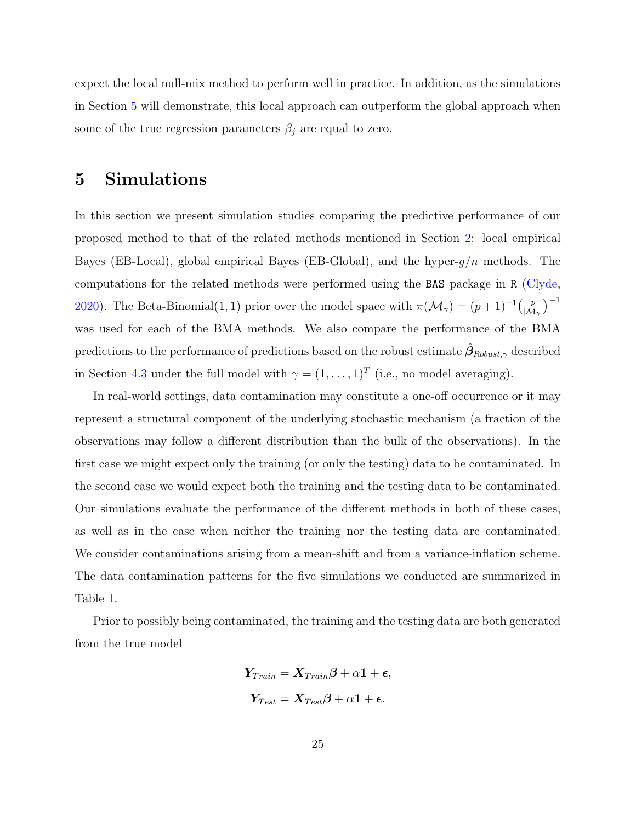expect the local null-mix method to perform well in practice. In addition, as the simulations in Section [5](#page-24-0) will demonstrate, this local approach can outperform the global approach when some of the true regression parameters  $\beta_j$  are equal to zero.

## <span id="page-24-0"></span>5 Simulations

In this section we present simulation studies comparing the predictive performance of our proposed method to that of the related methods mentioned in Section [2:](#page-3-0) local empirical Bayes (EB-Local), global empirical Bayes (EB-Global), and the hyper- $g/n$  methods. The computations for the related methods were performed using the BAS package in R [\(Clyde,](#page-36-10) [2020\)](#page-36-10). The Beta-Binomial(1, 1) prior over the model space with  $\pi(\mathcal{M}_{\gamma}) = (p+1)^{-1} \begin{pmatrix} p \\ M \end{pmatrix}$  $\binom{p}{|\mathcal{M}_\gamma|}^{-1}$ was used for each of the BMA methods. We also compare the performance of the BMA predictions to the performance of predictions based on the robust estimate  $\hat{\beta}_{Robust,\gamma}$  described in Section [4.3](#page-22-0) under the full model with  $\gamma = (1, \ldots, 1)^T$  (i.e., no model averaging).

In real-world settings, data contamination may constitute a one-off occurrence or it may represent a structural component of the underlying stochastic mechanism (a fraction of the observations may follow a different distribution than the bulk of the observations). In the first case we might expect only the training (or only the testing) data to be contaminated. In the second case we would expect both the training and the testing data to be contaminated. Our simulations evaluate the performance of the different methods in both of these cases, as well as in the case when neither the training nor the testing data are contaminated. We consider contaminations arising from a mean-shift and from a variance-inflation scheme. The data contamination patterns for the five simulations we conducted are summarized in Table [1.](#page-25-0)

Prior to possibly being contaminated, the training and the testing data are both generated from the true model

$$
Y_{Train} = X_{Train}\boldsymbol{\beta} + \alpha \mathbf{1} + \boldsymbol{\epsilon},
$$
  

$$
Y_{Test} = X_{Test}\boldsymbol{\beta} + \alpha \mathbf{1} + \boldsymbol{\epsilon}.
$$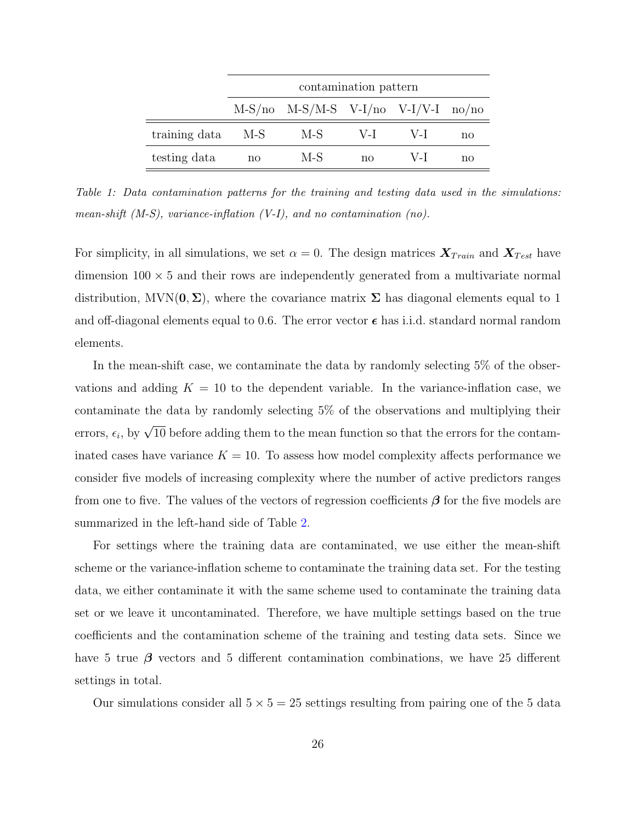<span id="page-25-0"></span>

|               | contamination pattern |                                               |       |       |    |  |  |  |
|---------------|-----------------------|-----------------------------------------------|-------|-------|----|--|--|--|
|               |                       | $M-S/no$ $M-S/M-S$ $V-I/no$ $V-I/V-I$ $no/no$ |       |       |    |  |  |  |
| training data | M-S                   | M-S                                           | $V-I$ | $V-I$ | no |  |  |  |
| testing data  | no                    | M-S                                           | no    | $V-I$ | nο |  |  |  |

Table 1: Data contamination patterns for the training and testing data used in the simulations: mean-shift  $(M-S)$ , variance-inflation  $(V-I)$ , and no contamination  $(no)$ .

For simplicity, in all simulations, we set  $\alpha = 0$ . The design matrices  $\mathbf{X}_{Train}$  and  $\mathbf{X}_{Test}$  have dimension  $100 \times 5$  and their rows are independently generated from a multivariate normal distribution,  $MVN(0, \Sigma)$ , where the covariance matrix  $\Sigma$  has diagonal elements equal to 1 and off-diagonal elements equal to 0.6. The error vector  $\epsilon$  has i.i.d. standard normal random elements.

In the mean-shift case, we contaminate the data by randomly selecting 5% of the observations and adding  $K = 10$  to the dependent variable. In the variance-inflation case, we contaminate the data by randomly selecting 5% of the observations and multiplying their errors,  $\epsilon_i$ , by  $\sqrt{10}$  before adding them to the mean function so that the errors for the contaminated cases have variance  $K = 10$ . To assess how model complexity affects performance we consider five models of increasing complexity where the number of active predictors ranges from one to five. The values of the vectors of regression coefficients  $\beta$  for the five models are summarized in the left-hand side of Table [2.](#page-26-0)

For settings where the training data are contaminated, we use either the mean-shift scheme or the variance-inflation scheme to contaminate the training data set. For the testing data, we either contaminate it with the same scheme used to contaminate the training data set or we leave it uncontaminated. Therefore, we have multiple settings based on the true coefficients and the contamination scheme of the training and testing data sets. Since we have 5 true  $\beta$  vectors and 5 different contamination combinations, we have 25 different settings in total.

Our simulations consider all  $5 \times 5 = 25$  settings resulting from pairing one of the 5 data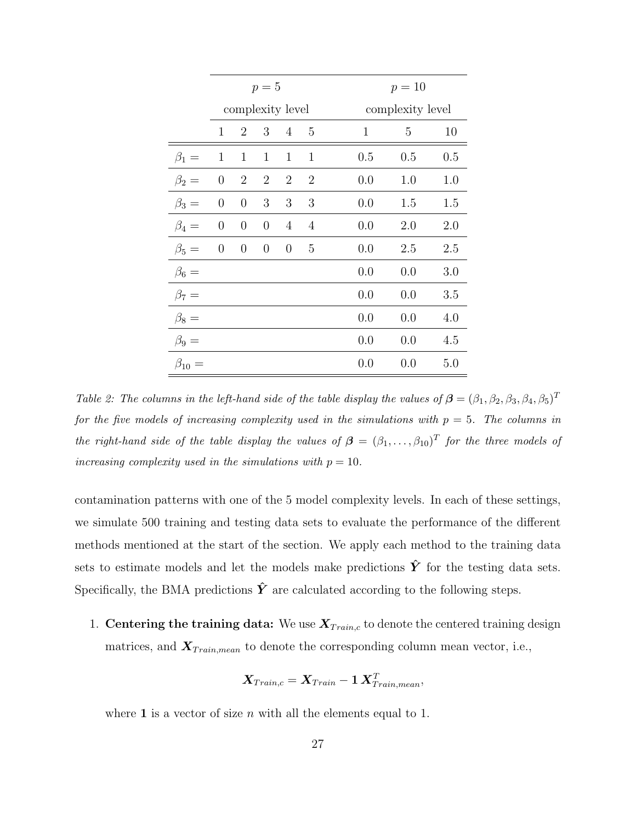<span id="page-26-0"></span>

|                | $p=5$            |                  |                  |                  |                |              | $p = 10$         |     |  |  |
|----------------|------------------|------------------|------------------|------------------|----------------|--------------|------------------|-----|--|--|
|                | complexity level |                  |                  |                  |                |              | complexity level |     |  |  |
|                | $\mathbf{1}$     | $\overline{2}$   | 3                | $\overline{4}$   | 5              | $\mathbf{1}$ | 5                | 10  |  |  |
| $\beta_1=$     | $\mathbf{1}$     | $\mathbf{1}$     | $\mathbf{1}$     | $\mathbf{1}$     | $\mathbf{1}$   | 0.5          | 0.5              | 0.5 |  |  |
| $\beta_2=$     | $\boldsymbol{0}$ | $\overline{2}$   | $\overline{2}$   | $\overline{2}$   | $\overline{2}$ | 0.0          | 1.0              | 1.0 |  |  |
| $\beta_3=$     | $\boldsymbol{0}$ | $\boldsymbol{0}$ | 3                | 3                | 3              | 0.0          | 1.5              | 1.5 |  |  |
| $\beta_4=$     | $\overline{0}$   | $\theta$         | $\boldsymbol{0}$ | $\overline{4}$   | $\overline{4}$ | 0.0          | 2.0              | 2.0 |  |  |
| $\beta_5=$     | $\overline{0}$   | $\boldsymbol{0}$ | $\boldsymbol{0}$ | $\boldsymbol{0}$ | 5              | 0.0          | 2.5              | 2.5 |  |  |
| $\beta_6 =$    |                  |                  |                  |                  |                | 0.0          | 0.0              | 3.0 |  |  |
| $\beta_7=$     |                  |                  |                  |                  |                | 0.0          | 0.0              | 3.5 |  |  |
| $\beta_8 =$    |                  |                  |                  |                  |                | 0.0          | 0.0              | 4.0 |  |  |
| $\beta_9=$     |                  |                  |                  |                  |                | 0.0          | 0.0              | 4.5 |  |  |
| $\beta_{10} =$ |                  |                  |                  |                  |                | 0.0          | 0.0              | 5.0 |  |  |

Table 2: The columns in the left-hand side of the table display the values of  $\boldsymbol{\beta} = (\beta_1, \beta_2, \beta_3, \beta_4, \beta_5)^T$ for the five models of increasing complexity used in the simulations with  $p = 5$ . The columns in the right-hand side of the table display the values of  $\boldsymbol{\beta} = (\beta_1, \ldots, \beta_{10})^T$  for the three models of increasing complexity used in the simulations with  $p = 10$ .

contamination patterns with one of the 5 model complexity levels. In each of these settings, we simulate 500 training and testing data sets to evaluate the performance of the different methods mentioned at the start of the section. We apply each method to the training data sets to estimate models and let the models make predictions  $\hat{Y}$  for the testing data sets. Specifically, the BMA predictions  $\hat{Y}$  are calculated according to the following steps.

1. Centering the training data: We use  $X_{Train,c}$  to denote the centered training design matrices, and  $X_{Train,mean}$  to denote the corresponding column mean vector, i.e.,

$$
\boldsymbol{X}_{Train,c} = \boldsymbol{X}_{Train} - \boldsymbol{1} \, \boldsymbol{X}_{Train,mean}^T,
$$

where 1 is a vector of size n with all the elements equal to 1.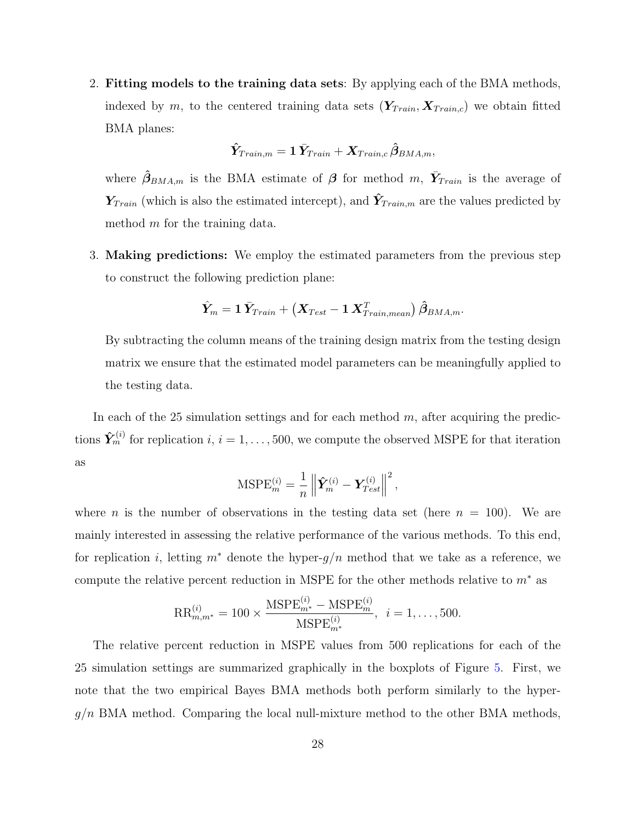2. Fitting models to the training data sets: By applying each of the BMA methods, indexed by m, to the centered training data sets  $(Y_{Train}, X_{Train,c})$  we obtain fitted BMA planes:

$$
\boldsymbol{\hat{Y}}_{Train,m} = \textbf{1}\,\boldsymbol{\bar{Y}}_{Train} + \boldsymbol{X}_{Train,c}\,\boldsymbol{\hat{\beta}}_{BMA,m},
$$

where  $\hat{\beta}_{BMA,m}$  is the BMA estimate of  $\beta$  for method m,  $\bar{Y}_{Train}$  is the average of  $\boldsymbol{Y}_{Train}$  (which is also the estimated intercept), and  $\hat{\boldsymbol{Y}}_{Train,m}$  are the values predicted by method m for the training data.

3. Making predictions: We employ the estimated parameters from the previous step to construct the following prediction plane:

$$
\hat{\boldsymbol{Y}}_{m}=\boldsymbol{1} \, \bar{\boldsymbol{Y}}_{Train}+\left(\boldsymbol{X}_{Test}-\boldsymbol{1} \, \boldsymbol{X}_{Train,mean}^{T}\right) \hat{\boldsymbol{\beta}}_{BMA,m}.
$$

By subtracting the column means of the training design matrix from the testing design matrix we ensure that the estimated model parameters can be meaningfully applied to the testing data.

In each of the 25 simulation settings and for each method  $m$ , after acquiring the predictions  $\hat{\mathbf{Y}}_m^{(i)}$  for replication  $i, i = 1, \ldots, 500$ , we compute the observed MSPE for that iteration as

$$
\text{MSPE}_m^{(i)} = \frac{1}{n} \left\| \hat{\boldsymbol{Y}}_m^{(i)} - \boldsymbol{Y}_{Test}^{(i)} \right\|^2,
$$

where *n* is the number of observations in the testing data set (here  $n = 100$ ). We are mainly interested in assessing the relative performance of the various methods. To this end, for replication i, letting  $m^*$  denote the hyper- $g/n$  method that we take as a reference, we compute the relative percent reduction in MSPE for the other methods relative to  $m^*$  as

$$
RR_{m,m^*}^{(i)} = 100 \times \frac{MSPE_{m^*}^{(i)} - MSPE_m^{(i)}}{MSPE_{m^*}^{(i)}}, \ \ i = 1, \dots, 500.
$$

The relative percent reduction in MSPE values from 500 replications for each of the 25 simulation settings are summarized graphically in the boxplots of Figure [5.](#page-30-0) First, we note that the two empirical Bayes BMA methods both perform similarly to the hyper $g/n$  BMA method. Comparing the local null-mixture method to the other BMA methods,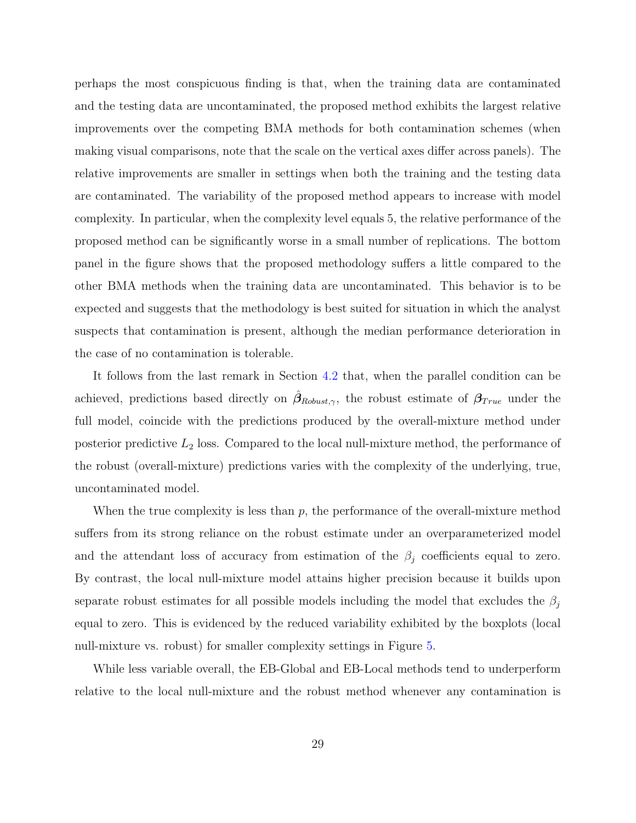perhaps the most conspicuous finding is that, when the training data are contaminated and the testing data are uncontaminated, the proposed method exhibits the largest relative improvements over the competing BMA methods for both contamination schemes (when making visual comparisons, note that the scale on the vertical axes differ across panels). The relative improvements are smaller in settings when both the training and the testing data are contaminated. The variability of the proposed method appears to increase with model complexity. In particular, when the complexity level equals 5, the relative performance of the proposed method can be significantly worse in a small number of replications. The bottom panel in the figure shows that the proposed methodology suffers a little compared to the other BMA methods when the training data are uncontaminated. This behavior is to be expected and suggests that the methodology is best suited for situation in which the analyst suspects that contamination is present, although the median performance deterioration in the case of no contamination is tolerable.

It follows from the last remark in Section [4.2](#page-21-0) that, when the parallel condition can be achieved, predictions based directly on  $\hat{\beta}_{Robust,\gamma}$ , the robust estimate of  $\beta_{True}$  under the full model, coincide with the predictions produced by the overall-mixture method under posterior predictive  $L_2$  loss. Compared to the local null-mixture method, the performance of the robust (overall-mixture) predictions varies with the complexity of the underlying, true, uncontaminated model.

When the true complexity is less than  $p$ , the performance of the overall-mixture method suffers from its strong reliance on the robust estimate under an overparameterized model and the attendant loss of accuracy from estimation of the  $\beta_j$  coefficients equal to zero. By contrast, the local null-mixture model attains higher precision because it builds upon separate robust estimates for all possible models including the model that excludes the  $\beta_i$ equal to zero. This is evidenced by the reduced variability exhibited by the boxplots (local null-mixture vs. robust) for smaller complexity settings in Figure [5.](#page-30-0)

While less variable overall, the EB-Global and EB-Local methods tend to underperform relative to the local null-mixture and the robust method whenever any contamination is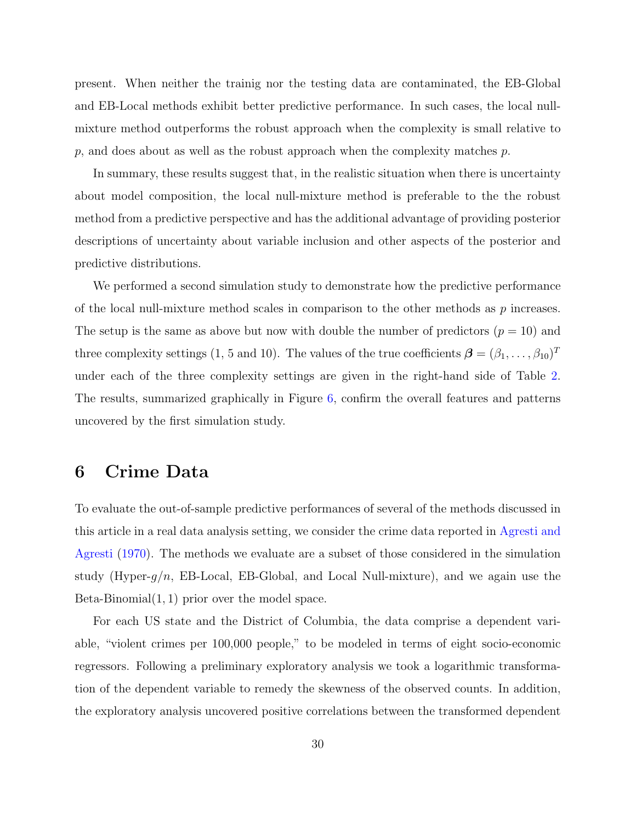present. When neither the trainig nor the testing data are contaminated, the EB-Global and EB-Local methods exhibit better predictive performance. In such cases, the local nullmixture method outperforms the robust approach when the complexity is small relative to  $p$ , and does about as well as the robust approach when the complexity matches  $p$ .

In summary, these results suggest that, in the realistic situation when there is uncertainty about model composition, the local null-mixture method is preferable to the the robust method from a predictive perspective and has the additional advantage of providing posterior descriptions of uncertainty about variable inclusion and other aspects of the posterior and predictive distributions.

We performed a second simulation study to demonstrate how the predictive performance of the local null-mixture method scales in comparison to the other methods as  $p$  increases. The setup is the same as above but now with double the number of predictors  $(p = 10)$  and three complexity settings (1, 5 and 10). The values of the true coefficients  $\boldsymbol{\beta} = (\beta_1, \dots, \beta_{10})^T$ under each of the three complexity settings are given in the right-hand side of Table [2.](#page-26-0) The results, summarized graphically in Figure [6,](#page-31-0) confirm the overall features and patterns uncovered by the first simulation study.

## <span id="page-29-0"></span>6 Crime Data

To evaluate the out-of-sample predictive performances of several of the methods discussed in this article in a real data analysis setting, we consider the crime data reported in [Agresti and](#page-35-1) [Agresti](#page-35-1) [\(1970\)](#page-35-1). The methods we evaluate are a subset of those considered in the simulation study (Hyper-g/n, EB-Local, EB-Global, and Local Null-mixture), and we again use the Beta-Binomial $(1, 1)$  prior over the model space.

For each US state and the District of Columbia, the data comprise a dependent variable, "violent crimes per 100,000 people," to be modeled in terms of eight socio-economic regressors. Following a preliminary exploratory analysis we took a logarithmic transformation of the dependent variable to remedy the skewness of the observed counts. In addition, the exploratory analysis uncovered positive correlations between the transformed dependent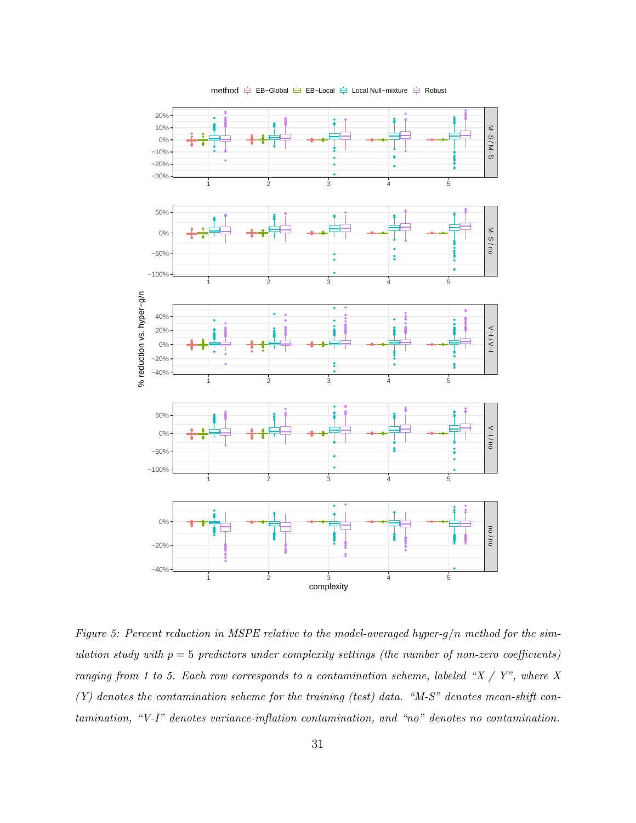<span id="page-30-0"></span>

method  $\Rightarrow$  EB−Global  $\Rightarrow$  EB−Local  $\Rightarrow$  Local Null–mixture  $\Rightarrow$  Robust

Figure 5: Percent reduction in MSPE relative to the model-averaged hyper-g/n method for the simulation study with  $p = 5$  predictors under complexity settings (the number of non-zero coefficients) ranging from 1 to 5. Each row corresponds to a contamination scheme, labeled " $X / Y$ ", where X  $(Y)$  denotes the contamination scheme for the training (test) data. "M-S" denotes mean-shift contamination, "V-I" denotes variance-inflation contamination, and "no" denotes no contamination.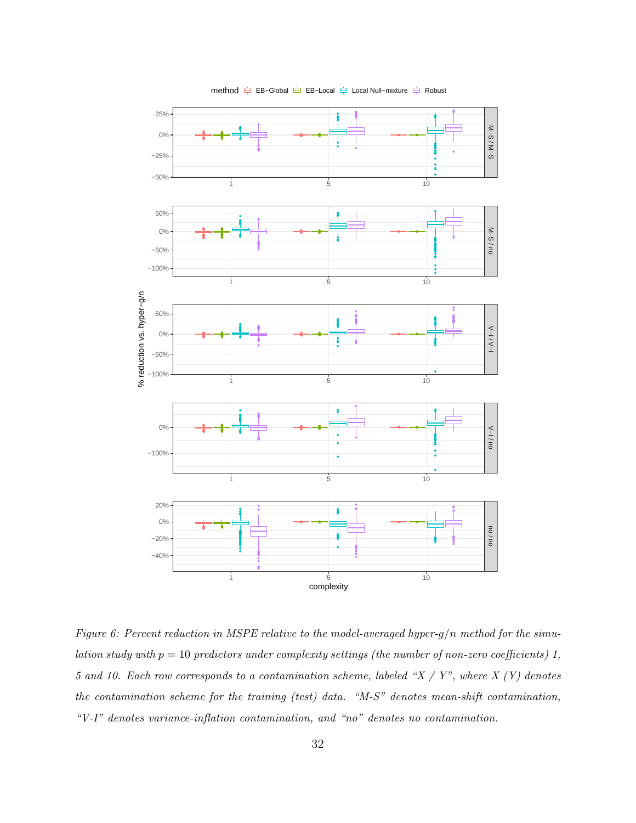<span id="page-31-0"></span>

method  $\Rightarrow$  EB−Global  $\Rightarrow$  EB−Local  $\Rightarrow$  Local Null–mixture  $\Rightarrow$  Robust

Figure 6: Percent reduction in MSPE relative to the model-averaged hyper-g/n method for the simulation study with  $p = 10$  predictors under complexity settings (the number of non-zero coefficients) 1, 5 and 10. Each row corresponds to a contamination scheme, labeled " $X / Y$ ", where  $X (Y)$  denotes the contamination scheme for the training (test) data. "M-S" denotes mean-shift contamination, "V-I" denotes variance-inflation contamination, and "no" denotes no contamination.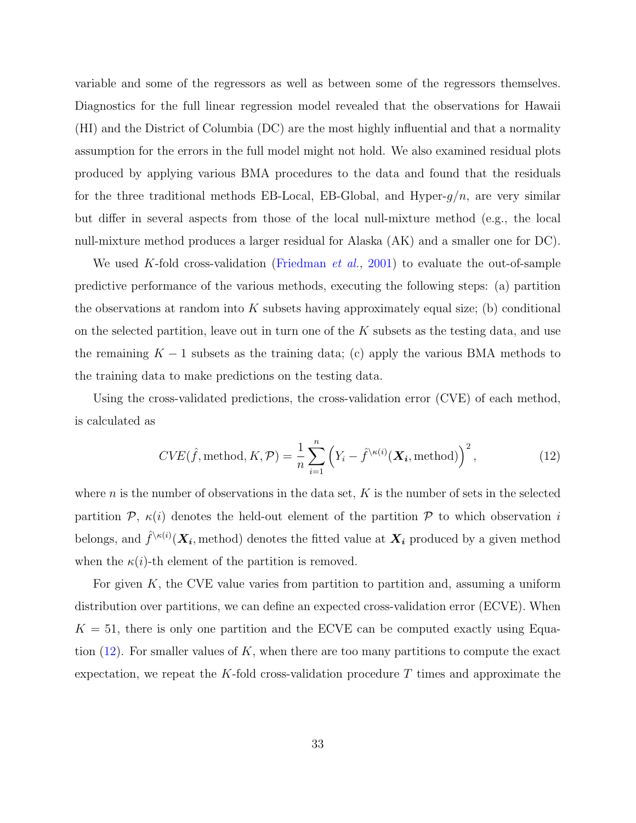variable and some of the regressors as well as between some of the regressors themselves. Diagnostics for the full linear regression model revealed that the observations for Hawaii (HI) and the District of Columbia (DC) are the most highly influential and that a normality assumption for the errors in the full model might not hold. We also examined residual plots produced by applying various BMA procedures to the data and found that the residuals for the three traditional methods EB-Local, EB-Global, and Hyper- $g/n$ , are very similar but differ in several aspects from those of the local null-mixture method (e.g., the local null-mixture method produces a larger residual for Alaska (AK) and a smaller one for DC).

We used K-fold cross-validation [\(Friedman](#page-37-10) *et al.*, [2001\)](#page-37-10) to evaluate the out-of-sample predictive performance of the various methods, executing the following steps: (a) partition the observations at random into  $K$  subsets having approximately equal size; (b) conditional on the selected partition, leave out in turn one of the  $K$  subsets as the testing data, and use the remaining  $K - 1$  subsets as the training data; (c) apply the various BMA methods to the training data to make predictions on the testing data.

Using the cross-validated predictions, the cross-validation error (CVE) of each method, is calculated as

<span id="page-32-0"></span>
$$
CVE(\hat{f}, \text{method}, K, \mathcal{P}) = \frac{1}{n} \sum_{i=1}^{n} \left( Y_i - \hat{f}^{\setminus \kappa(i)}(\boldsymbol{X_i}, \text{method}) \right)^2, \tag{12}
$$

where n is the number of observations in the data set,  $K$  is the number of sets in the selected partition  $P$ ,  $\kappa(i)$  denotes the held-out element of the partition P to which observation i belongs, and  $\hat{f}^{\setminus\kappa(i)}(\bm{X_i},$  method) denotes the fitted value at  $\bm{X_i}$  produced by a given method when the  $\kappa(i)$ -th element of the partition is removed.

For given  $K$ , the CVE value varies from partition to partition and, assuming a uniform distribution over partitions, we can define an expected cross-validation error (ECVE). When  $K = 51$ , there is only one partition and the ECVE can be computed exactly using Equation  $(12)$ . For smaller values of K, when there are too many partitions to compute the exact expectation, we repeat the K-fold cross-validation procedure  $T$  times and approximate the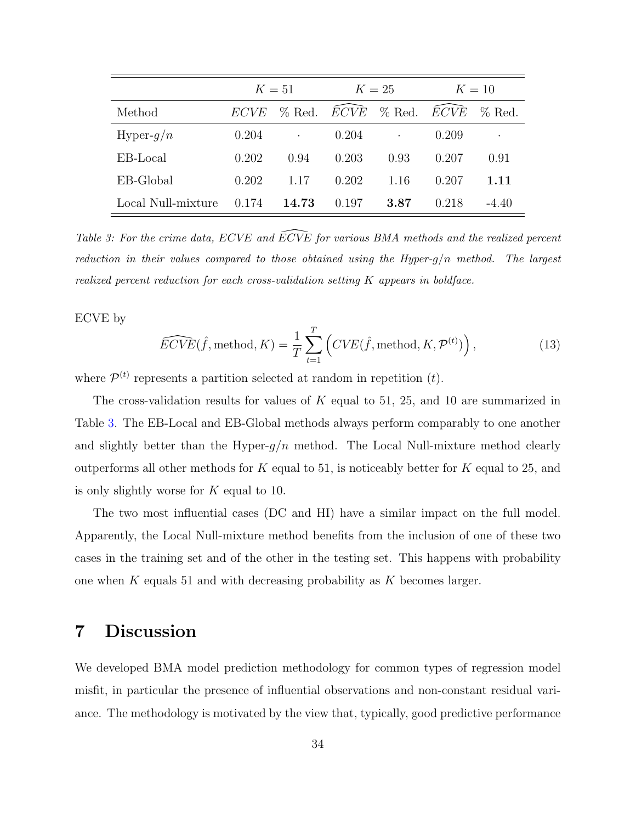<span id="page-33-1"></span>

|                    | $K=51$      |           | $K=25$ |                                                                 | $K=10$ |           |
|--------------------|-------------|-----------|--------|-----------------------------------------------------------------|--------|-----------|
| Method             | <i>ECVE</i> |           |        | $\%$ Red. $\overline{ECV}$ $\overline{E}$ Red. $\overline{ECV}$ |        | $\%$ Red. |
| Hyper- $g/n$       | 0.204       | $\bullet$ | 0.204  | $\bullet$                                                       | 0.209  | $\bullet$ |
| EB-Local           | 0.202       | 0.94      | 0.203  | 0.93                                                            | 0.207  | 0.91      |
| EB-Global          | 0.202       | 1.17      | 0.202  | 1.16                                                            | 0.207  | 1.11      |
| Local Null-mixture | 0.174       | 14.73     | 0.197  | 3.87                                                            | 0.218  | $-4.40$   |

Table 3: For the crime data, ECVE and  $\overline{ECVE}$  for various BMA methods and the realized percent reduction in their values compared to those obtained using the Hyper-g/n method. The largest realized percent reduction for each cross-validation setting  $K$  appears in boldface.

ECVE by

$$
\widehat{ECVE}(\hat{f}, \text{method}, K) = \frac{1}{T} \sum_{t=1}^{T} \left( CVE(\hat{f}, \text{method}, K, \mathcal{P}^{(t)}) \right), \tag{13}
$$

where  $\mathcal{P}^{(t)}$  represents a partition selected at random in repetition  $(t)$ .

The cross-validation results for values of  $K$  equal to 51, 25, and 10 are summarized in Table [3.](#page-33-1) The EB-Local and EB-Global methods always perform comparably to one another and slightly better than the Hyper- $g/n$  method. The Local Null-mixture method clearly outperforms all other methods for  $K$  equal to 51, is noticeably better for  $K$  equal to 25, and is only slightly worse for K equal to 10.

The two most influential cases (DC and HI) have a similar impact on the full model. Apparently, the Local Null-mixture method benefits from the inclusion of one of these two cases in the training set and of the other in the testing set. This happens with probability one when K equals 51 and with decreasing probability as K becomes larger.

## <span id="page-33-0"></span>7 Discussion

We developed BMA model prediction methodology for common types of regression model misfit, in particular the presence of influential observations and non-constant residual variance. The methodology is motivated by the view that, typically, good predictive performance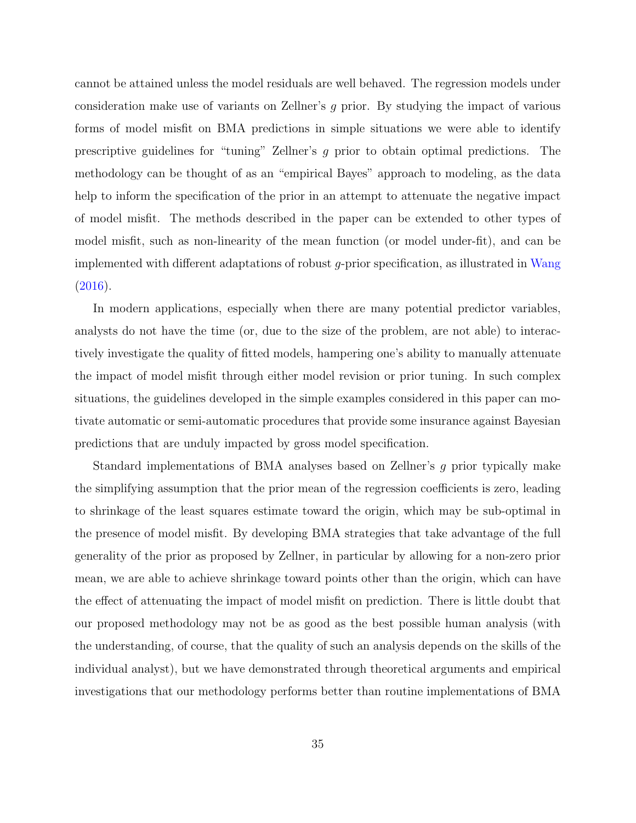cannot be attained unless the model residuals are well behaved. The regression models under consideration make use of variants on Zellner's g prior. By studying the impact of various forms of model misfit on BMA predictions in simple situations we were able to identify prescriptive guidelines for "tuning" Zellner's g prior to obtain optimal predictions. The methodology can be thought of as an "empirical Bayes" approach to modeling, as the data help to inform the specification of the prior in an attempt to attenuate the negative impact of model misfit. The methods described in the paper can be extended to other types of model misfit, such as non-linearity of the mean function (or model under-fit), and can be implemented with different adaptations of robust g-prior specification, as illustrated in [Wang](#page-39-11)  $(2016).$  $(2016).$ 

In modern applications, especially when there are many potential predictor variables, analysts do not have the time (or, due to the size of the problem, are not able) to interactively investigate the quality of fitted models, hampering one's ability to manually attenuate the impact of model misfit through either model revision or prior tuning. In such complex situations, the guidelines developed in the simple examples considered in this paper can motivate automatic or semi-automatic procedures that provide some insurance against Bayesian predictions that are unduly impacted by gross model specification.

Standard implementations of BMA analyses based on Zellner's g prior typically make the simplifying assumption that the prior mean of the regression coefficients is zero, leading to shrinkage of the least squares estimate toward the origin, which may be sub-optimal in the presence of model misfit. By developing BMA strategies that take advantage of the full generality of the prior as proposed by Zellner, in particular by allowing for a non-zero prior mean, we are able to achieve shrinkage toward points other than the origin, which can have the effect of attenuating the impact of model misfit on prediction. There is little doubt that our proposed methodology may not be as good as the best possible human analysis (with the understanding, of course, that the quality of such an analysis depends on the skills of the individual analyst), but we have demonstrated through theoretical arguments and empirical investigations that our methodology performs better than routine implementations of BMA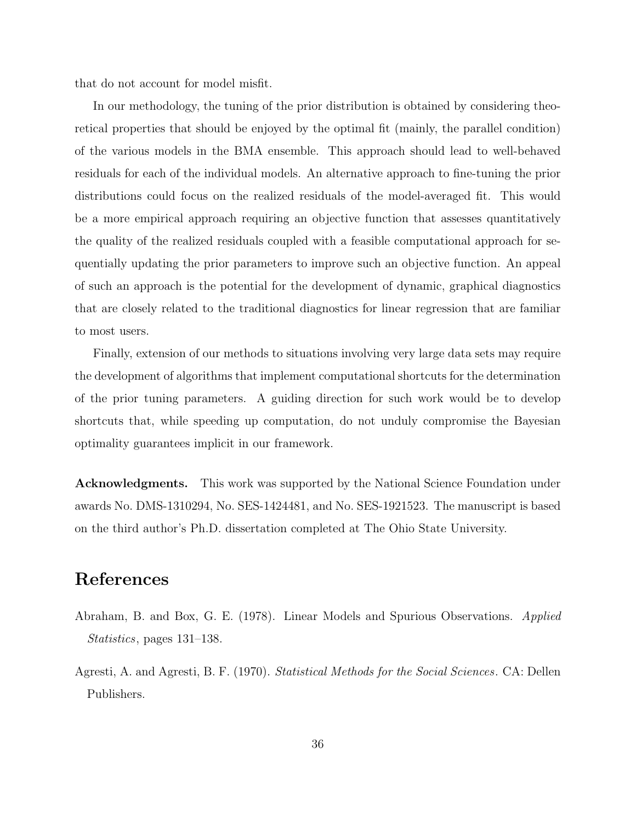that do not account for model misfit.

In our methodology, the tuning of the prior distribution is obtained by considering theoretical properties that should be enjoyed by the optimal fit (mainly, the parallel condition) of the various models in the BMA ensemble. This approach should lead to well-behaved residuals for each of the individual models. An alternative approach to fine-tuning the prior distributions could focus on the realized residuals of the model-averaged fit. This would be a more empirical approach requiring an objective function that assesses quantitatively the quality of the realized residuals coupled with a feasible computational approach for sequentially updating the prior parameters to improve such an objective function. An appeal of such an approach is the potential for the development of dynamic, graphical diagnostics that are closely related to the traditional diagnostics for linear regression that are familiar to most users.

Finally, extension of our methods to situations involving very large data sets may require the development of algorithms that implement computational shortcuts for the determination of the prior tuning parameters. A guiding direction for such work would be to develop shortcuts that, while speeding up computation, do not unduly compromise the Bayesian optimality guarantees implicit in our framework.

Acknowledgments. This work was supported by the National Science Foundation under awards No. DMS-1310294, No. SES-1424481, and No. SES-1921523. The manuscript is based on the third author's Ph.D. dissertation completed at The Ohio State University.

## References

- <span id="page-35-0"></span>Abraham, B. and Box, G. E. (1978). Linear Models and Spurious Observations. Applied Statistics, pages 131–138.
- <span id="page-35-1"></span>Agresti, A. and Agresti, B. F. (1970). Statistical Methods for the Social Sciences. CA: Dellen Publishers.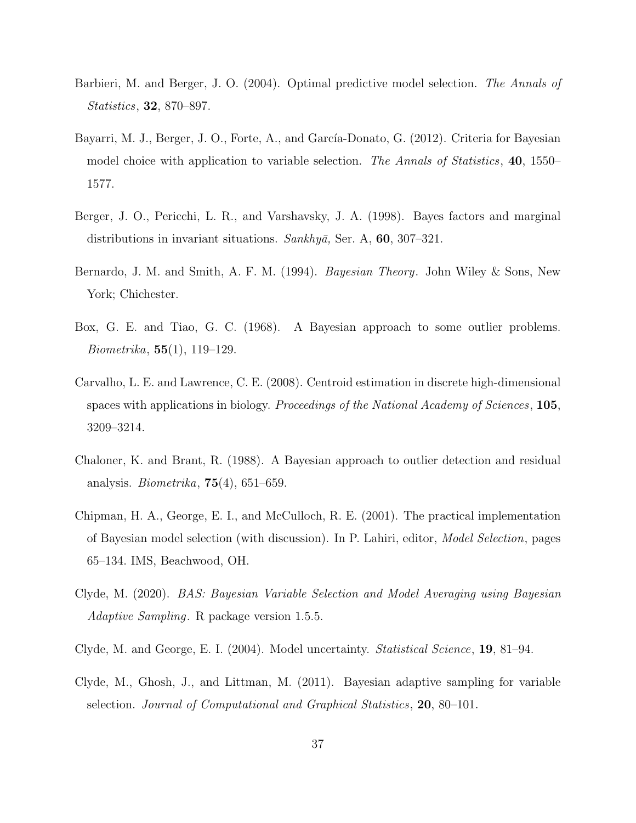- <span id="page-36-6"></span>Barbieri, M. and Berger, J. O. (2004). Optimal predictive model selection. The Annals of Statistics, 32, 870–897.
- <span id="page-36-4"></span>Bayarri, M. J., Berger, J. O., Forte, A., and García-Donato, G. (2012). Criteria for Bayesian model choice with application to variable selection. The Annals of Statistics, 40, 1550– 1577.
- <span id="page-36-5"></span>Berger, J. O., Pericchi, L. R., and Varshavsky, J. A. (1998). Bayes factors and marginal distributions in invariant situations. Sankhyā, Ser. A,  $60$ ,  $307-321$ .
- <span id="page-36-0"></span>Bernardo, J. M. and Smith, A. F. M. (1994). Bayesian Theory. John Wiley & Sons, New York; Chichester.
- <span id="page-36-9"></span>Box, G. E. and Tiao, G. C. (1968). A Bayesian approach to some outlier problems. Biometrika, 55(1), 119–129.
- <span id="page-36-7"></span>Carvalho, L. E. and Lawrence, C. E. (2008). Centroid estimation in discrete high-dimensional spaces with applications in biology. Proceedings of the National Academy of Sciences, 105, 3209–3214.
- <span id="page-36-3"></span>Chaloner, K. and Brant, R. (1988). A Bayesian approach to outlier detection and residual analysis. *Biometrika*,  $75(4)$ ,  $651-659$ .
- <span id="page-36-2"></span>Chipman, H. A., George, E. I., and McCulloch, R. E. (2001). The practical implementation of Bayesian model selection (with discussion). In P. Lahiri, editor, Model Selection, pages 65–134. IMS, Beachwood, OH.
- <span id="page-36-10"></span>Clyde, M. (2020). BAS: Bayesian Variable Selection and Model Averaging using Bayesian Adaptive Sampling. R package version 1.5.5.
- <span id="page-36-1"></span>Clyde, M. and George, E. I. (2004). Model uncertainty. Statistical Science, 19, 81–94.
- <span id="page-36-8"></span>Clyde, M., Ghosh, J., and Littman, M. (2011). Bayesian adaptive sampling for variable selection. Journal of Computational and Graphical Statistics, 20, 80–101.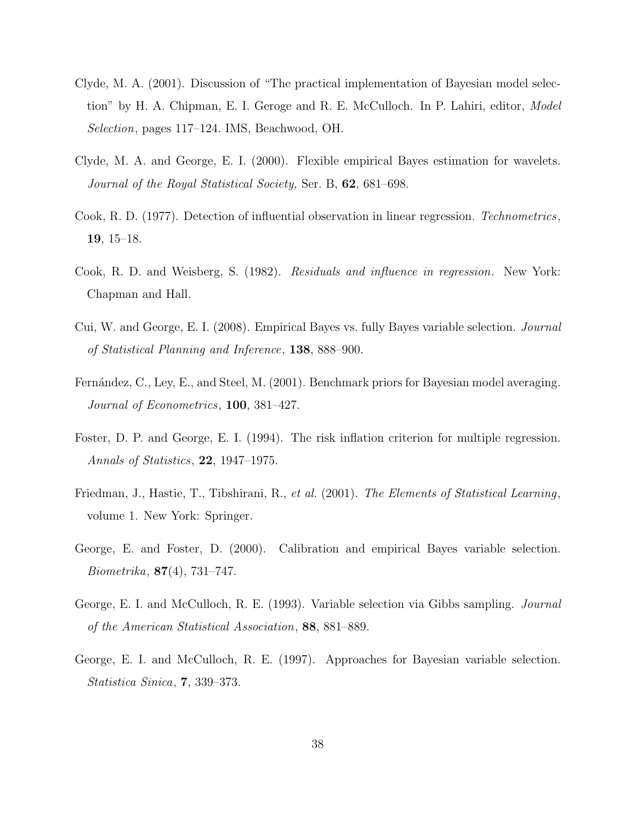- <span id="page-37-7"></span>Clyde, M. A. (2001). Discussion of "The practical implementation of Bayesian model selection" by H. A. Chipman, E. I. Geroge and R. E. McCulloch. In P. Lahiri, editor, Model Selection, pages 117–124. IMS, Beachwood, OH.
- <span id="page-37-5"></span>Clyde, M. A. and George, E. I. (2000). Flexible empirical Bayes estimation for wavelets. Journal of the Royal Statistical Society, Ser. B, 62, 681–698.
- <span id="page-37-9"></span>Cook, R. D. (1977). Detection of influential observation in linear regression. Technometrics, 19, 15–18.
- <span id="page-37-2"></span>Cook, R. D. and Weisberg, S. (1982). Residuals and influence in regression. New York: Chapman and Hall.
- <span id="page-37-6"></span>Cui, W. and George, E. I. (2008). Empirical Bayes vs. fully Bayes variable selection. Journal of Statistical Planning and Inference, 138, 888–900.
- <span id="page-37-8"></span>Fernández, C., Ley, E., and Steel, M. (2001). Benchmark priors for Bayesian model averaging. Journal of Econometrics, 100, 381–427.
- <span id="page-37-3"></span>Foster, D. P. and George, E. I. (1994). The risk inflation criterion for multiple regression. Annals of Statistics, 22, 1947–1975.
- <span id="page-37-10"></span>Friedman, J., Hastie, T., Tibshirani, R., et al. (2001). The Elements of Statistical Learning, volume 1. New York: Springer.
- <span id="page-37-4"></span>George, E. and Foster, D. (2000). Calibration and empirical Bayes variable selection. Biometrika, 87(4), 731–747.
- <span id="page-37-0"></span>George, E. I. and McCulloch, R. E. (1993). Variable selection via Gibbs sampling. Journal of the American Statistical Association, 88, 881–889.
- <span id="page-37-1"></span>George, E. I. and McCulloch, R. E. (1997). Approaches for Bayesian variable selection. Statistica Sinica, 7, 339–373.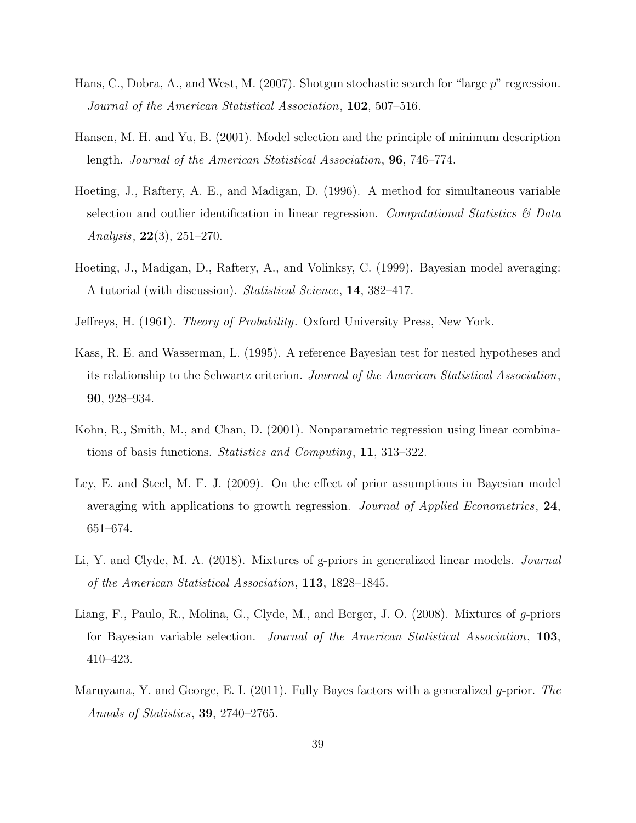- <span id="page-38-4"></span>Hans, C., Dobra, A., and West, M. (2007). Shotgun stochastic search for "large p" regression. Journal of the American Statistical Association, 102, 507–516.
- <span id="page-38-9"></span>Hansen, M. H. and Yu, B. (2001). Model selection and the principle of minimum description length. Journal of the American Statistical Association, 96, 746–774.
- <span id="page-38-1"></span>Hoeting, J., Raftery, A. E., and Madigan, D. (1996). A method for simultaneous variable selection and outlier identification in linear regression. Computational Statistics  $\mathcal{C}$  Data Analysis, 22(3), 251–270.
- <span id="page-38-0"></span>Hoeting, J., Madigan, D., Raftery, A., and Volinksy, C. (1999). Bayesian model averaging: A tutorial (with discussion). Statistical Science, 14, 382–417.
- <span id="page-38-5"></span>Jeffreys, H. (1961). Theory of Probability. Oxford University Press, New York.
- <span id="page-38-8"></span>Kass, R. E. and Wasserman, L. (1995). A reference Bayesian test for nested hypotheses and its relationship to the Schwartz criterion. Journal of the American Statistical Association, 90, 928–934.
- <span id="page-38-7"></span>Kohn, R., Smith, M., and Chan, D. (2001). Nonparametric regression using linear combinations of basis functions. Statistics and Computing, 11, 313–322.
- <span id="page-38-6"></span>Ley, E. and Steel, M. F. J. (2009). On the effect of prior assumptions in Bayesian model averaging with applications to growth regression. Journal of Applied Econometrics, 24, 651–674.
- <span id="page-38-3"></span>Li, Y. and Clyde, M. A. (2018). Mixtures of g-priors in generalized linear models. Journal of the American Statistical Association, 113, 1828–1845.
- <span id="page-38-2"></span>Liang, F., Paulo, R., Molina, G., Clyde, M., and Berger, J. O. (2008). Mixtures of g-priors for Bayesian variable selection. Journal of the American Statistical Association, 103, 410–423.
- <span id="page-38-10"></span>Maruyama, Y. and George, E. I. (2011). Fully Bayes factors with a generalized  $q$ -prior. The Annals of Statistics, 39, 2740–2765.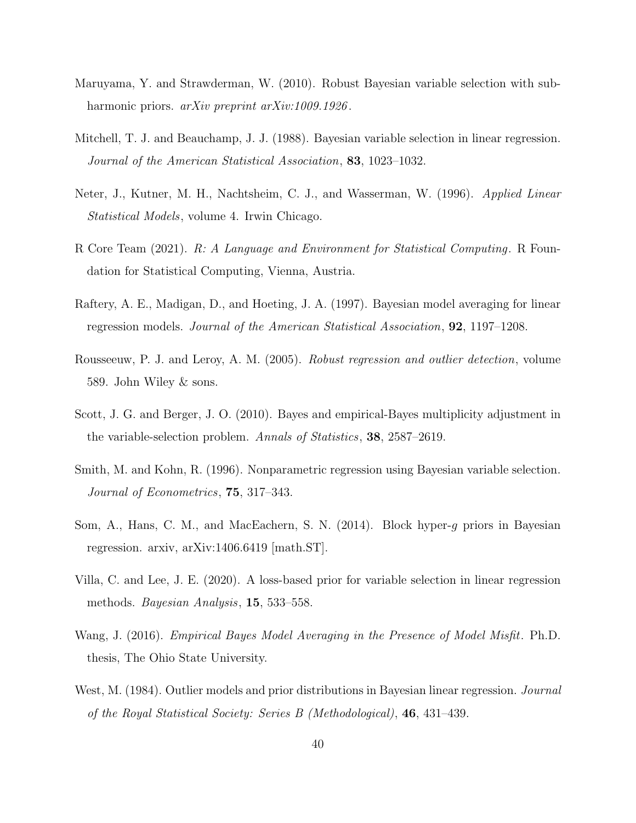- <span id="page-39-8"></span>Maruyama, Y. and Strawderman, W. (2010). Robust Bayesian variable selection with subharmonic priors. *arXiv preprint arXiv:1009.1926*.
- <span id="page-39-0"></span>Mitchell, T. J. and Beauchamp, J. J. (1988). Bayesian variable selection in linear regression. Journal of the American Statistical Association, 83, 1023–1032.
- <span id="page-39-3"></span>Neter, J., Kutner, M. H., Nachtsheim, C. J., and Wasserman, W. (1996). Applied Linear Statistical Models, volume 4. Irwin Chicago.
- <span id="page-39-10"></span>R Core Team (2021). R: A Language and Environment for Statistical Computing. R Foundation for Statistical Computing, Vienna, Austria.
- <span id="page-39-2"></span>Raftery, A. E., Madigan, D., and Hoeting, J. A. (1997). Bayesian model averaging for linear regression models. Journal of the American Statistical Association, 92, 1197–1208.
- <span id="page-39-9"></span>Rousseeuw, P. J. and Leroy, A. M. (2005). Robust regression and outlier detection, volume 589. John Wiley & sons.
- <span id="page-39-5"></span>Scott, J. G. and Berger, J. O. (2010). Bayes and empirical-Bayes multiplicity adjustment in the variable-selection problem. Annals of Statistics, 38, 2587–2619.
- <span id="page-39-1"></span>Smith, M. and Kohn, R. (1996). Nonparametric regression using Bayesian variable selection. Journal of Econometrics, 75, 317–343.
- <span id="page-39-7"></span>Som, A., Hans, C. M., and MacEachern, S. N. (2014). Block hyper-g priors in Bayesian regression. arxiv, arXiv:1406.6419 [math.ST].
- <span id="page-39-6"></span>Villa, C. and Lee, J. E. (2020). A loss-based prior for variable selection in linear regression methods. Bayesian Analysis, 15, 533–558.
- <span id="page-39-11"></span>Wang, J. (2016). Empirical Bayes Model Averaging in the Presence of Model Misfit. Ph.D. thesis, The Ohio State University.
- <span id="page-39-4"></span>West, M. (1984). Outlier models and prior distributions in Bayesian linear regression. *Journal* of the Royal Statistical Society: Series B (Methodological), 46, 431–439.